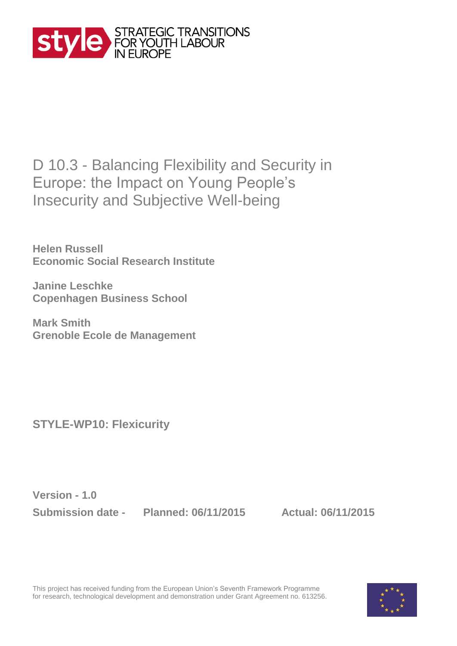

## D 10.3 - Balancing Flexibility and Security in Europe: the Impact on Young People's Insecurity and Subjective Well-being

**Helen Russell Economic Social Research Institute**

**Janine Leschke Copenhagen Business School** 

**Mark Smith Grenoble Ecole de Management**

**STYLE-WP10: Flexicurity**

**Version - 1.0**

**Submission date - Planned: 06/11/2015 Actual: 06/11/2015**

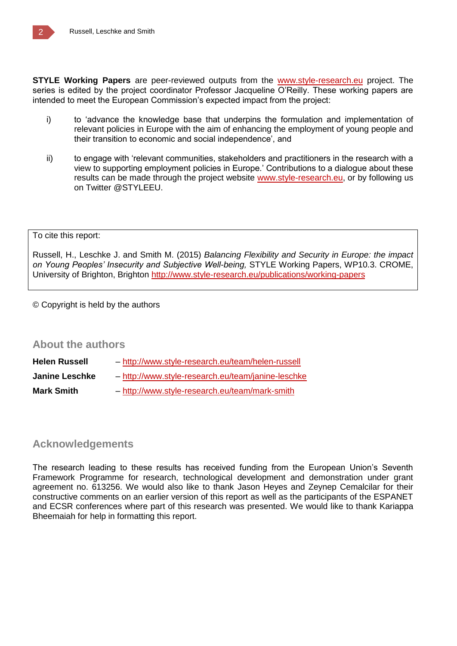**STYLE Working Papers** are peer-reviewed outputs from the [www.style-research.eu](http://www.style-research.eu/) project. The series is edited by the project coordinator Professor Jacqueline O'Reilly. These working papers are intended to meet the European Commission's expected impact from the project:

- i) to 'advance the knowledge base that underpins the formulation and implementation of relevant policies in Europe with the aim of enhancing the employment of young people and their transition to economic and social independence', and
- ii) to engage with 'relevant communities, stakeholders and practitioners in the research with a view to supporting employment policies in Europe.' Contributions to a dialogue about these results can be made through the project website [www.style-research.eu,](http://www.style-research.eu/) or by following us on Twitter @STYLEEU.

#### To cite this report:

Russell, H., Leschke J. and Smith M. (2015) *Balancing Flexibility and Security in Europe: the impact on Young Peoples' Insecurity and Subjective Well-being,* STYLE Working Papers, WP10.3. CROME, University of Brighton, Brighton<http://www.style-research.eu/publications/working-papers>

© Copyright is held by the authors

#### **About the authors**

| Helen Russell  | - http://www.style-research.eu/team/helen-russell  |
|----------------|----------------------------------------------------|
| Janine Leschke | - http://www.style-research.eu/team/janine-leschke |
| Mark Smith     | - http://www.style-research.eu/team/mark-smith     |

### **Acknowledgements**

The research leading to these results has received funding from the European Union's Seventh Framework Programme for research, technological development and demonstration under grant agreement no. 613256. We would also like to thank Jason Heyes and Zeynep Cemalcilar for their constructive comments on an earlier version of this report as well as the participants of the ESPANET and ECSR conferences where part of this research was presented. We would like to thank Kariappa Bheemaiah for help in formatting this report.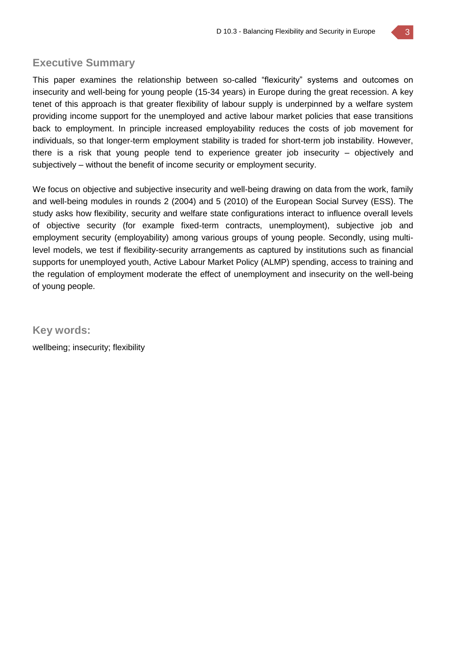### **Executive Summary**

This paper examines the relationship between so-called "flexicurity" systems and outcomes on insecurity and well-being for young people (15-34 years) in Europe during the great recession. A key tenet of this approach is that greater flexibility of labour supply is underpinned by a welfare system providing income support for the unemployed and active labour market policies that ease transitions back to employment. In principle increased employability reduces the costs of job movement for individuals, so that longer-term employment stability is traded for short-term job instability. However, there is a risk that young people tend to experience greater job insecurity – objectively and subjectively – without the benefit of income security or employment security.

We focus on objective and subjective insecurity and well-being drawing on data from the work, family and well-being modules in rounds 2 (2004) and 5 (2010) of the European Social Survey (ESS). The study asks how flexibility, security and welfare state configurations interact to influence overall levels of objective security (for example fixed-term contracts, unemployment), subjective job and employment security (employability) among various groups of young people. Secondly, using multilevel models, we test if flexibility-security arrangements as captured by institutions such as financial supports for unemployed youth, Active Labour Market Policy (ALMP) spending, access to training and the regulation of employment moderate the effect of unemployment and insecurity on the well-being of young people.

**Key words:** 

wellbeing; insecurity; flexibility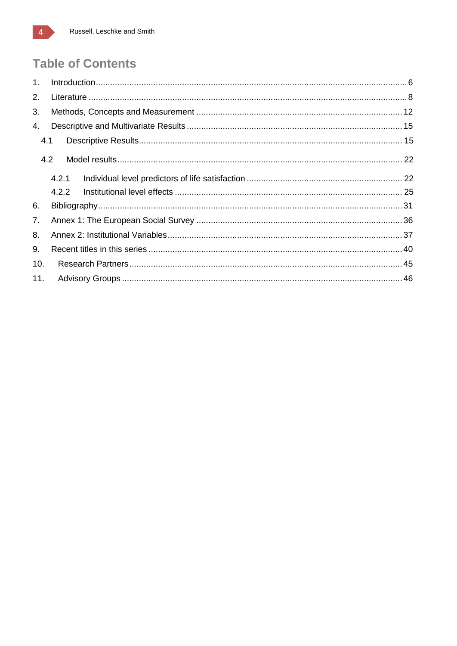## **Table of Contents**

| 1 <sub>1</sub> |       |  |  |  |  |  |  |  |
|----------------|-------|--|--|--|--|--|--|--|
| 2.             |       |  |  |  |  |  |  |  |
| 3.             |       |  |  |  |  |  |  |  |
| 4.             |       |  |  |  |  |  |  |  |
|                | 4.1   |  |  |  |  |  |  |  |
|                | 4.2   |  |  |  |  |  |  |  |
|                | 4.2.1 |  |  |  |  |  |  |  |
|                | 4.2.2 |  |  |  |  |  |  |  |
| 6.             |       |  |  |  |  |  |  |  |
| 7.             |       |  |  |  |  |  |  |  |
| 8.             |       |  |  |  |  |  |  |  |
| 9.             |       |  |  |  |  |  |  |  |
| 10.            |       |  |  |  |  |  |  |  |
| 11.            |       |  |  |  |  |  |  |  |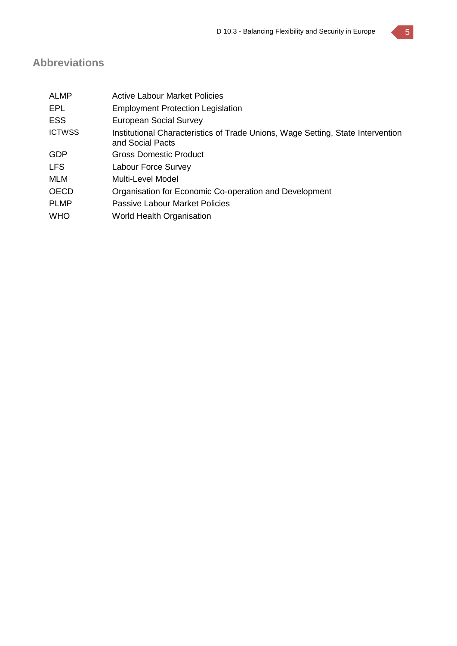### **Abbreviations**

| <b>ALMP</b>   | <b>Active Labour Market Policies</b>                                                                |
|---------------|-----------------------------------------------------------------------------------------------------|
| EPL           | <b>Employment Protection Legislation</b>                                                            |
| <b>ESS</b>    | <b>European Social Survey</b>                                                                       |
| <b>ICTWSS</b> | Institutional Characteristics of Trade Unions, Wage Setting, State Intervention<br>and Social Pacts |
| <b>GDP</b>    | Gross Domestic Product                                                                              |
| <b>LFS</b>    | Labour Force Survey                                                                                 |
| MLM           | Multi-Level Model                                                                                   |
| <b>OECD</b>   | Organisation for Economic Co-operation and Development                                              |
| <b>PLMP</b>   | <b>Passive Labour Market Policies</b>                                                               |
| <b>WHO</b>    | World Health Organisation                                                                           |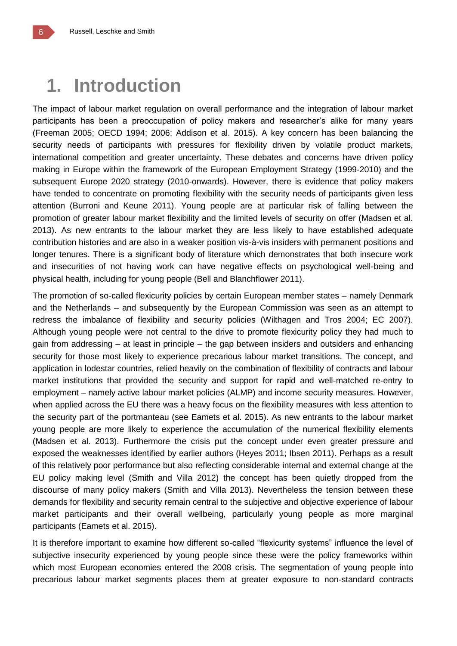# **1. Introduction**

The impact of labour market regulation on overall performance and the integration of labour market participants has been a preoccupation of policy makers and researcher's alike for many years (Freeman 2005; OECD 1994; 2006; Addison et al. 2015). A key concern has been balancing the security needs of participants with pressures for flexibility driven by volatile product markets, international competition and greater uncertainty. These debates and concerns have driven policy making in Europe within the framework of the European Employment Strategy (1999-2010) and the subsequent Europe 2020 strategy (2010-onwards). However, there is evidence that policy makers have tended to concentrate on promoting flexibility with the security needs of participants given less attention (Burroni and Keune 2011). Young people are at particular risk of falling between the promotion of greater labour market flexibility and the limited levels of security on offer (Madsen et al. 2013). As new entrants to the labour market they are less likely to have established adequate contribution histories and are also in a weaker position vis-à-vis insiders with permanent positions and longer tenures. There is a significant body of literature which demonstrates that both insecure work and insecurities of not having work can have negative effects on psychological well-being and physical health, including for young people (Bell and Blanchflower 2011).

The promotion of so-called flexicurity policies by certain European member states – namely Denmark and the Netherlands – and subsequently by the European Commission was seen as an attempt to redress the imbalance of flexibility and security policies (Wilthagen and Tros 2004; EC 2007). Although young people were not central to the drive to promote flexicurity policy they had much to gain from addressing – at least in principle – the gap between insiders and outsiders and enhancing security for those most likely to experience precarious labour market transitions. The concept, and application in lodestar countries, relied heavily on the combination of flexibility of contracts and labour market institutions that provided the security and support for rapid and well-matched re-entry to employment – namely active labour market policies (ALMP) and income security measures. However, when applied across the EU there was a heavy focus on the flexibility measures with less attention to the security part of the portmanteau (see Eamets et al. 2015). As new entrants to the labour market young people are more likely to experience the accumulation of the numerical flexibility elements (Madsen et al. 2013). Furthermore the crisis put the concept under even greater pressure and exposed the weaknesses identified by earlier authors (Heyes 2011; Ibsen 2011). Perhaps as a result of this relatively poor performance but also reflecting considerable internal and external change at the EU policy making level (Smith and Villa 2012) the concept has been quietly dropped from the discourse of many policy makers (Smith and Villa 2013). Nevertheless the tension between these demands for flexibility and security remain central to the subjective and objective experience of labour market participants and their overall wellbeing, particularly young people as more marginal participants (Eamets et al. 2015).

It is therefore important to examine how different so-called "flexicurity systems" influence the level of subjective insecurity experienced by young people since these were the policy frameworks within which most European economies entered the 2008 crisis. The segmentation of young people into precarious labour market segments places them at greater exposure to non-standard contracts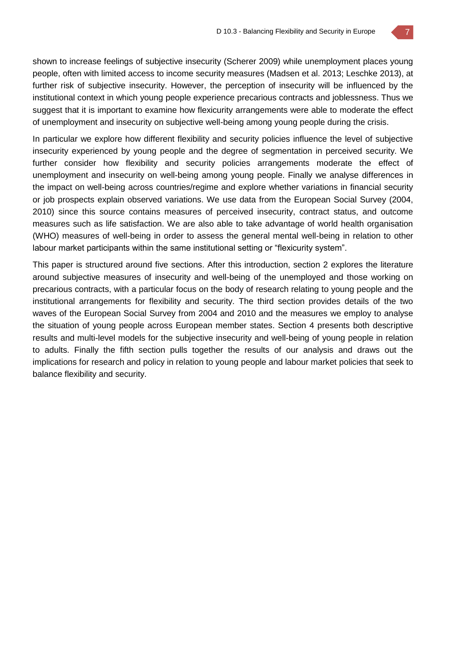shown to increase feelings of subjective insecurity (Scherer 2009) while unemployment places young people, often with limited access to income security measures (Madsen et al. 2013; Leschke 2013), at further risk of subjective insecurity. However, the perception of insecurity will be influenced by the institutional context in which young people experience precarious contracts and joblessness. Thus we suggest that it is important to examine how flexicurity arrangements were able to moderate the effect of unemployment and insecurity on subjective well-being among young people during the crisis.

In particular we explore how different flexibility and security policies influence the level of subjective insecurity experienced by young people and the degree of segmentation in perceived security. We further consider how flexibility and security policies arrangements moderate the effect of unemployment and insecurity on well-being among young people. Finally we analyse differences in the impact on well-being across countries/regime and explore whether variations in financial security or job prospects explain observed variations. We use data from the European Social Survey (2004, 2010) since this source contains measures of perceived insecurity, contract status, and outcome measures such as life satisfaction. We are also able to take advantage of world health organisation (WHO) measures of well-being in order to assess the general mental well-being in relation to other labour market participants within the same institutional setting or "flexicurity system".

This paper is structured around five sections. After this introduction, section 2 explores the literature around subjective measures of insecurity and well-being of the unemployed and those working on precarious contracts, with a particular focus on the body of research relating to young people and the institutional arrangements for flexibility and security. The third section provides details of the two waves of the European Social Survey from 2004 and 2010 and the measures we employ to analyse the situation of young people across European member states. Section 4 presents both descriptive results and multi-level models for the subjective insecurity and well-being of young people in relation to adults. Finally the fifth section pulls together the results of our analysis and draws out the implications for research and policy in relation to young people and labour market policies that seek to balance flexibility and security.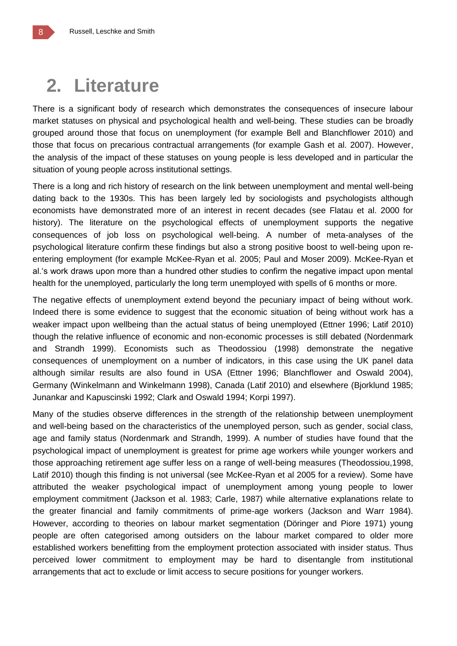# **2. Literature**

There is a significant body of research which demonstrates the consequences of insecure labour market statuses on physical and psychological health and well-being. These studies can be broadly grouped around those that focus on unemployment (for example Bell and Blanchflower 2010) and those that focus on precarious contractual arrangements (for example Gash et al. 2007). However, the analysis of the impact of these statuses on young people is less developed and in particular the situation of young people across institutional settings.

There is a long and rich history of research on the link between unemployment and mental well-being dating back to the 1930s. This has been largely led by sociologists and psychologists although economists have demonstrated more of an interest in recent decades (see Flatau et al. 2000 for history). The literature on the psychological effects of unemployment supports the negative consequences of job loss on psychological well-being. A number of meta-analyses of the psychological literature confirm these findings but also a strong positive boost to well-being upon reentering employment (for example McKee-Ryan et al. 2005; Paul and Moser 2009). McKee-Ryan et al.'s work draws upon more than a hundred other studies to confirm the negative impact upon mental health for the unemployed, particularly the long term unemployed with spells of 6 months or more.

The negative effects of unemployment extend beyond the pecuniary impact of being without work. Indeed there is some evidence to suggest that the economic situation of being without work has a weaker impact upon wellbeing than the actual status of being unemployed (Ettner 1996; Latif 2010) though the relative influence of economic and non-economic processes is still debated (Nordenmark and Strandh 1999). Economists such as Theodossiou (1998) demonstrate the negative consequences of unemployment on a number of indicators, in this case using the UK panel data although similar results are also found in USA (Ettner 1996; Blanchflower and Oswald 2004), Germany (Winkelmann and Winkelmann 1998), Canada (Latif 2010) and elsewhere (Bjorklund 1985; Junankar and Kapuscinski 1992; Clark and Oswald 1994; Korpi 1997).

Many of the studies observe differences in the strength of the relationship between unemployment and well-being based on the characteristics of the unemployed person, such as gender, social class, age and family status (Nordenmark and Strandh, 1999). A number of studies have found that the psychological impact of unemployment is greatest for prime age workers while younger workers and those approaching retirement age suffer less on a range of well-being measures (Theodossiou,1998, Latif 2010) though this finding is not universal (see McKee-Ryan et al 2005 for a review). Some have attributed the weaker psychological impact of unemployment among young people to lower employment commitment (Jackson et al. 1983; Carle, 1987) while alternative explanations relate to the greater financial and family commitments of prime-age workers (Jackson and Warr 1984). However, according to theories on labour market segmentation (Döringer and Piore 1971) young people are often categorised among outsiders on the labour market compared to older more established workers benefitting from the employment protection associated with insider status. Thus perceived lower commitment to employment may be hard to disentangle from institutional arrangements that act to exclude or limit access to secure positions for younger workers.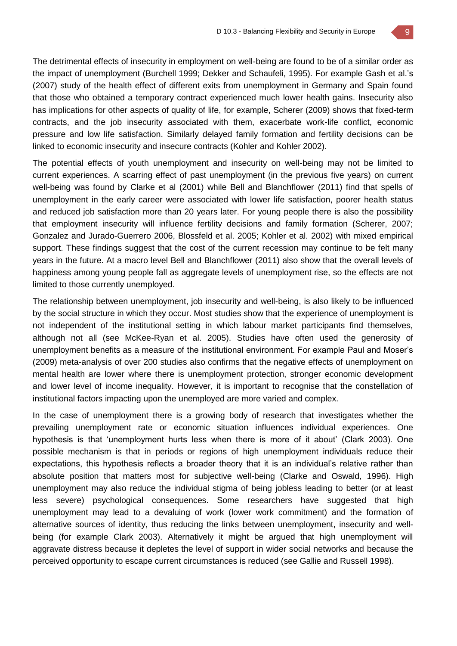The detrimental effects of insecurity in employment on well-being are found to be of a similar order as the impact of unemployment (Burchell 1999; Dekker and Schaufeli, 1995). For example Gash et al.'s (2007) study of the health effect of different exits from unemployment in Germany and Spain found that those who obtained a temporary contract experienced much lower health gains. Insecurity also has implications for other aspects of quality of life, for example, Scherer (2009) shows that fixed-term contracts, and the job insecurity associated with them, exacerbate work-life conflict, economic pressure and low life satisfaction. Similarly delayed family formation and fertility decisions can be linked to economic insecurity and insecure contracts (Kohler and Kohler 2002).

The potential effects of youth unemployment and insecurity on well-being may not be limited to current experiences. A scarring effect of past unemployment (in the previous five years) on current well-being was found by Clarke et al (2001) while Bell and Blanchflower (2011) find that spells of unemployment in the early career were associated with lower life satisfaction, poorer health status and reduced job satisfaction more than 20 years later. For young people there is also the possibility that employment insecurity will influence fertility decisions and family formation (Scherer, 2007; Gonzalez and Jurado-Guerrero 2006, Blossfeld et al. 2005; Kohler et al. 2002) with mixed empirical support. These findings suggest that the cost of the current recession may continue to be felt many years in the future. At a macro level Bell and Blanchflower (2011) also show that the overall levels of happiness among young people fall as aggregate levels of unemployment rise, so the effects are not limited to those currently unemployed.

The relationship between unemployment, job insecurity and well-being, is also likely to be influenced by the social structure in which they occur. Most studies show that the experience of unemployment is not independent of the institutional setting in which labour market participants find themselves, although not all (see McKee-Ryan et al. 2005). Studies have often used the generosity of unemployment benefits as a measure of the institutional environment. For example Paul and Moser's (2009) meta-analysis of over 200 studies also confirms that the negative effects of unemployment on mental health are lower where there is unemployment protection, stronger economic development and lower level of income inequality. However, it is important to recognise that the constellation of institutional factors impacting upon the unemployed are more varied and complex.

In the case of unemployment there is a growing body of research that investigates whether the prevailing unemployment rate or economic situation influences individual experiences. One hypothesis is that 'unemployment hurts less when there is more of it about' (Clark 2003). One possible mechanism is that in periods or regions of high unemployment individuals reduce their expectations, this hypothesis reflects a broader theory that it is an individual's relative rather than absolute position that matters most for subjective well-being (Clarke and Oswald, 1996). High unemployment may also reduce the individual stigma of being jobless leading to better (or at least less severe) psychological consequences. Some researchers have suggested that high unemployment may lead to a devaluing of work (lower work commitment) and the formation of alternative sources of identity, thus reducing the links between unemployment, insecurity and wellbeing (for example Clark 2003). Alternatively it might be argued that high unemployment will aggravate distress because it depletes the level of support in wider social networks and because the perceived opportunity to escape current circumstances is reduced (see Gallie and Russell 1998).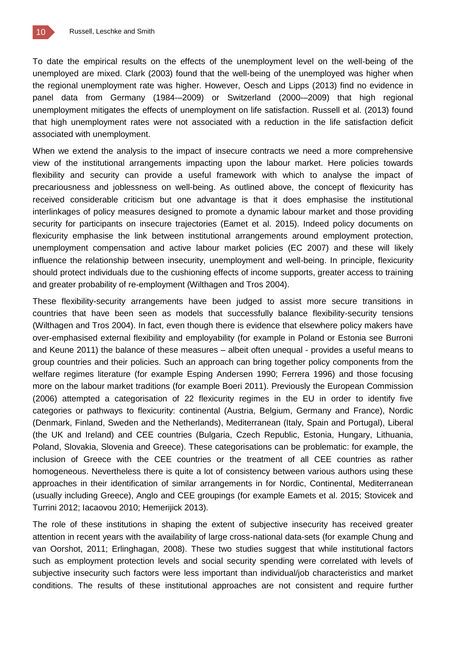To date the empirical results on the effects of the unemployment level on the well-being of the unemployed are mixed. Clark (2003) found that the well-being of the unemployed was higher when the regional unemployment rate was higher. However, Oesch and Lipps (2013) find no evidence in panel data from Germany (1984-–2009) or Switzerland (2000-–2009) that high regional unemployment mitigates the effects of unemployment on life satisfaction. Russell et al. (2013) found that high unemployment rates were not associated with a reduction in the life satisfaction deficit associated with unemployment.

When we extend the analysis to the impact of insecure contracts we need a more comprehensive view of the institutional arrangements impacting upon the labour market. Here policies towards flexibility and security can provide a useful framework with which to analyse the impact of precariousness and joblessness on well-being. As outlined above, the concept of flexicurity has received considerable criticism but one advantage is that it does emphasise the institutional interlinkages of policy measures designed to promote a dynamic labour market and those providing security for participants on insecure trajectories (Eamet et al. 2015). Indeed policy documents on flexicurity emphasise the link between institutional arrangements around employment protection, unemployment compensation and active labour market policies (EC 2007) and these will likely influence the relationship between insecurity, unemployment and well-being. In principle, flexicurity should protect individuals due to the cushioning effects of income supports, greater access to training and greater probability of re-employment (Wilthagen and Tros 2004).

These flexibility-security arrangements have been judged to assist more secure transitions in countries that have been seen as models that successfully balance flexibility-security tensions (Wilthagen and Tros 2004). In fact, even though there is evidence that elsewhere policy makers have over-emphasised external flexibility and employability (for example in Poland or Estonia see Burroni and Keune 2011) the balance of these measures – albeit often unequal - provides a useful means to group countries and their policies. Such an approach can bring together policy components from the welfare regimes literature (for example Esping Andersen 1990; Ferrera 1996) and those focusing more on the labour market traditions (for example Boeri 2011). Previously the European Commission (2006) attempted a categorisation of 22 flexicurity regimes in the EU in order to identify five categories or pathways to flexicurity: continental (Austria, Belgium, Germany and France), Nordic (Denmark, Finland, Sweden and the Netherlands), Mediterranean (Italy, Spain and Portugal), Liberal (the UK and Ireland) and CEE countries (Bulgaria, Czech Republic, Estonia, Hungary, Lithuania, Poland, Slovakia, Slovenia and Greece). These categorisations can be problematic: for example, the inclusion of Greece with the CEE countries or the treatment of all CEE countries as rather homogeneous. Nevertheless there is quite a lot of consistency between various authors using these approaches in their identification of similar arrangements in for Nordic, Continental, Mediterranean (usually including Greece), Anglo and CEE groupings (for example Eamets et al. 2015; Stovicek and Turrini 2012; Iacaovou 2010; Hemerijick 2013).

The role of these institutions in shaping the extent of subjective insecurity has received greater attention in recent years with the availability of large cross-national data-sets (for example Chung and van Oorshot, 2011; Erlinghagan, 2008). These two studies suggest that while institutional factors such as employment protection levels and social security spending were correlated with levels of subjective insecurity such factors were less important than individual/job characteristics and market conditions. The results of these institutional approaches are not consistent and require further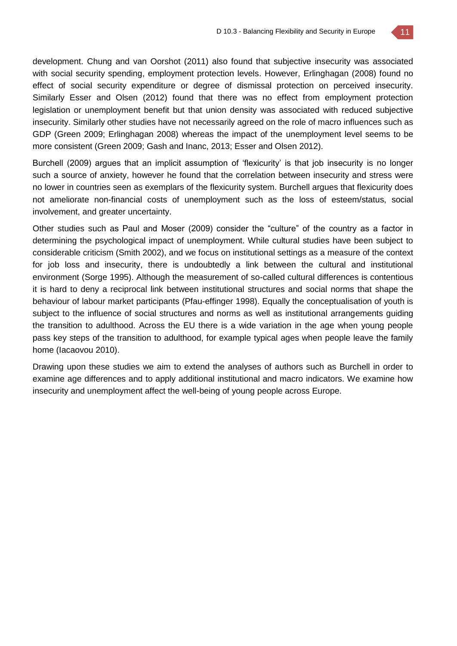

development. Chung and van Oorshot (2011) also found that subjective insecurity was associated with social security spending, employment protection levels. However, Erlinghagan (2008) found no effect of social security expenditure or degree of dismissal protection on perceived insecurity. Similarly Esser and Olsen (2012) found that there was no effect from employment protection legislation or unemployment benefit but that union density was associated with reduced subjective insecurity. Similarly other studies have not necessarily agreed on the role of macro influences such as GDP (Green 2009; Erlinghagan 2008) whereas the impact of the unemployment level seems to be more consistent (Green 2009; Gash and Inanc, 2013; Esser and Olsen 2012).

Burchell (2009) argues that an implicit assumption of 'flexicurity' is that job insecurity is no longer such a source of anxiety, however he found that the correlation between insecurity and stress were no lower in countries seen as exemplars of the flexicurity system. Burchell argues that flexicurity does not ameliorate non-financial costs of unemployment such as the loss of esteem/status, social involvement, and greater uncertainty.

Other studies such as Paul and Moser (2009) consider the "culture" of the country as a factor in determining the psychological impact of unemployment. While cultural studies have been subject to considerable criticism (Smith 2002), and we focus on institutional settings as a measure of the context for job loss and insecurity, there is undoubtedly a link between the cultural and institutional environment (Sorge 1995). Although the measurement of so-called cultural differences is contentious it is hard to deny a reciprocal link between institutional structures and social norms that shape the behaviour of labour market participants (Pfau-effinger 1998). Equally the conceptualisation of youth is subject to the influence of social structures and norms as well as institutional arrangements guiding the transition to adulthood. Across the EU there is a wide variation in the age when young people pass key steps of the transition to adulthood, for example typical ages when people leave the family home (Iacaovou 2010).

Drawing upon these studies we aim to extend the analyses of authors such as Burchell in order to examine age differences and to apply additional institutional and macro indicators. We examine how insecurity and unemployment affect the well-being of young people across Europe.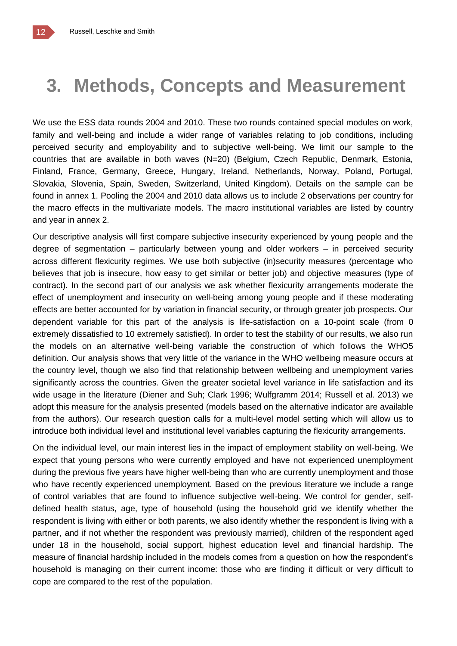# **3. Methods, Concepts and Measurement**

We use the ESS data rounds 2004 and 2010. These two rounds contained special modules on work, family and well-being and include a wider range of variables relating to job conditions, including perceived security and employability and to subjective well-being. We limit our sample to the countries that are available in both waves (N=20) (Belgium, Czech Republic, Denmark, Estonia, Finland, France, Germany, Greece, Hungary, Ireland, Netherlands, Norway, Poland, Portugal, Slovakia, Slovenia, Spain, Sweden, Switzerland, United Kingdom). Details on the sample can be found in annex 1. Pooling the 2004 and 2010 data allows us to include 2 observations per country for the macro effects in the multivariate models. The macro institutional variables are listed by country and year in annex 2.

Our descriptive analysis will first compare subjective insecurity experienced by young people and the degree of segmentation – particularly between young and older workers – in perceived security across different flexicurity regimes. We use both subjective (in)security measures (percentage who believes that job is insecure, how easy to get similar or better job) and objective measures (type of contract). In the second part of our analysis we ask whether flexicurity arrangements moderate the effect of unemployment and insecurity on well-being among young people and if these moderating effects are better accounted for by variation in financial security, or through greater job prospects. Our dependent variable for this part of the analysis is life-satisfaction on a 10-point scale (from 0 extremely dissatisfied to 10 extremely satisfied). In order to test the stability of our results, we also run the models on an alternative well-being variable the construction of which follows the WHO5 definition. Our analysis shows that very little of the variance in the WHO wellbeing measure occurs at the country level, though we also find that relationship between wellbeing and unemployment varies significantly across the countries. Given the greater societal level variance in life satisfaction and its wide usage in the literature (Diener and Suh; Clark 1996; Wulfgramm 2014; Russell et al. 2013) we adopt this measure for the analysis presented (models based on the alternative indicator are available from the authors). Our research question calls for a multi-level model setting which will allow us to introduce both individual level and institutional level variables capturing the flexicurity arrangements.

On the individual level, our main interest lies in the impact of employment stability on well-being. We expect that young persons who were currently employed and have not experienced unemployment during the previous five years have higher well-being than who are currently unemployment and those who have recently experienced unemployment. Based on the previous literature we include a range of control variables that are found to influence subjective well-being. We control for gender, selfdefined health status, age, type of household (using the household grid we identify whether the respondent is living with either or both parents, we also identify whether the respondent is living with a partner, and if not whether the respondent was previously married), children of the respondent aged under 18 in the household, social support, highest education level and financial hardship. The measure of financial hardship included in the models comes from a question on how the respondent's household is managing on their current income: those who are finding it difficult or very difficult to cope are compared to the rest of the population.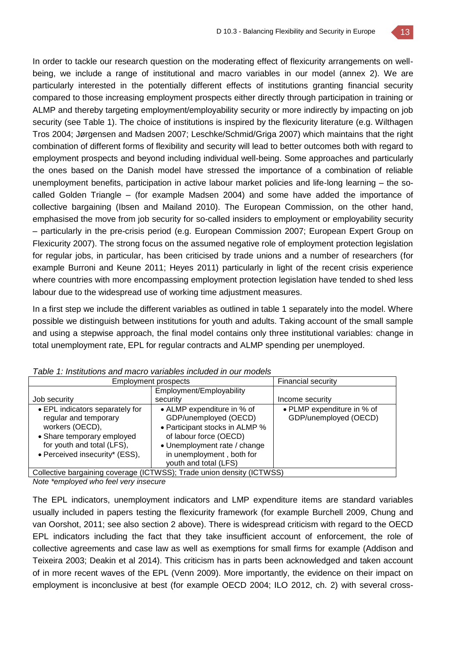

In order to tackle our research question on the moderating effect of flexicurity arrangements on wellbeing, we include a range of institutional and macro variables in our model (annex 2). We are particularly interested in the potentially different effects of institutions granting financial security compared to those increasing employment prospects either directly through participation in training or ALMP and thereby targeting employment/employability security or more indirectly by impacting on job security (see Table 1). The choice of institutions is inspired by the flexicurity literature (e.g. Wilthagen Tros 2004; Jørgensen and Madsen 2007; Leschke/Schmid/Griga 2007) which maintains that the right combination of different forms of flexibility and security will lead to better outcomes both with regard to employment prospects and beyond including individual well-being. Some approaches and particularly the ones based on the Danish model have stressed the importance of a combination of reliable unemployment benefits, participation in active labour market policies and life-long learning – the socalled Golden Triangle – (for example Madsen 2004) and some have added the importance of collective bargaining (Ibsen and Mailand 2010). The European Commission, on the other hand, emphasised the move from job security for so-called insiders to employment or employability security – particularly in the pre-crisis period (e.g. European Commission 2007; European Expert Group on Flexicurity 2007). The strong focus on the assumed negative role of employment protection legislation for regular jobs, in particular, has been criticised by trade unions and a number of researchers (for example Burroni and Keune 2011; Heyes 2011) particularly in light of the recent crisis experience where countries with more encompassing employment protection legislation have tended to shed less labour due to the widespread use of working time adjustment measures.

In a first step we include the different variables as outlined in table 1 separately into the model. Where possible we distinguish between institutions for youth and adults. Taking account of the small sample and using a stepwise approach, the final model contains only three institutional variables: change in total unemployment rate, EPL for regular contracts and ALMP spending per unemployed.

| Tapic T. MSIIDINIS and macro vanables included in Our models                                                                                                              |                                                                                                                                                                                                       |                                                     |  |  |  |  |  |
|---------------------------------------------------------------------------------------------------------------------------------------------------------------------------|-------------------------------------------------------------------------------------------------------------------------------------------------------------------------------------------------------|-----------------------------------------------------|--|--|--|--|--|
|                                                                                                                                                                           | Employment prospects                                                                                                                                                                                  |                                                     |  |  |  |  |  |
|                                                                                                                                                                           | Employment/Employability                                                                                                                                                                              |                                                     |  |  |  |  |  |
| Job security                                                                                                                                                              | security                                                                                                                                                                                              | Income security                                     |  |  |  |  |  |
| • EPL indicators separately for<br>regular and temporary<br>workers (OECD),<br>• Share temporary employed<br>for youth and total (LFS),<br>• Perceived insecurity* (ESS), | • ALMP expenditure in % of<br>GDP/unemployed (OECD)<br>• Participant stocks in ALMP %<br>of labour force (OECD)<br>• Unemployment rate / change<br>in unemployment, both for<br>youth and total (LFS) | • PLMP expenditure in % of<br>GDP/unemployed (OECD) |  |  |  |  |  |
|                                                                                                                                                                           | Collective bargaining coverage (ICTWSS); Trade union density (ICTWSS)                                                                                                                                 |                                                     |  |  |  |  |  |

*Table 1: Institutions and macro variables included in our models*

*Note \*employed who feel very insecure*

The EPL indicators, unemployment indicators and LMP expenditure items are standard variables usually included in papers testing the flexicurity framework (for example Burchell 2009, Chung and van Oorshot, 2011; see also section 2 above). There is widespread criticism with regard to the OECD EPL indicators including the fact that they take insufficient account of enforcement, the role of collective agreements and case law as well as exemptions for small firms for example (Addison and Teixeira 2003; Deakin et al 2014). This criticism has in parts been acknowledged and taken account of in more recent waves of the EPL (Venn 2009). More importantly, the evidence on their impact on employment is inconclusive at best (for example OECD 2004; ILO 2012, ch. 2) with several cross-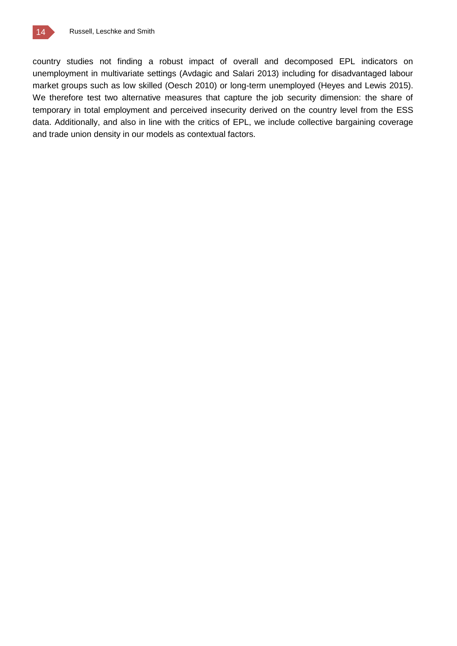

country studies not finding a robust impact of overall and decomposed EPL indicators on unemployment in multivariate settings (Avdagic and Salari 2013) including for disadvantaged labour market groups such as low skilled (Oesch 2010) or long-term unemployed (Heyes and Lewis 2015). We therefore test two alternative measures that capture the job security dimension: the share of temporary in total employment and perceived insecurity derived on the country level from the ESS data. Additionally, and also in line with the critics of EPL, we include collective bargaining coverage and trade union density in our models as contextual factors.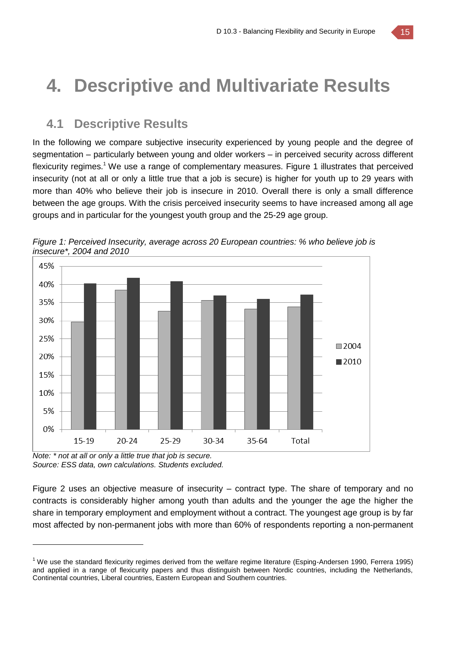# **4. Descriptive and Multivariate Results**

## **4.1 Descriptive Results**

In the following we compare subjective insecurity experienced by young people and the degree of segmentation – particularly between young and older workers – in perceived security across different flexicurity regimes.<sup>1</sup> We use a range of complementary measures. Figure 1 illustrates that perceived insecurity (not at all or only a little true that a job is secure) is higher for youth up to 29 years with more than 40% who believe their job is insecure in 2010. Overall there is only a small difference between the age groups. With the crisis perceived insecurity seems to have increased among all age groups and in particular for the youngest youth group and the 25-29 age group.



*Figure 1: Perceived Insecurity, average across 20 European countries: % who believe job is insecure\*, 2004 and 2010*

*Note: \* not at all or only a little true that job is secure. Source: ESS data, own calculations. Students excluded.*

 $\overline{a}$ 

Figure 2 uses an objective measure of insecurity – contract type. The share of temporary and no contracts is considerably higher among youth than adults and the younger the age the higher the share in temporary employment and employment without a contract. The youngest age group is by far most affected by non-permanent jobs with more than 60% of respondents reporting a non-permanent

 $1$  We use the standard flexicurity regimes derived from the welfare regime literature (Esping-Andersen 1990, Ferrera 1995) and applied in a range of flexicurity papers and thus distinguish between Nordic countries, including the Netherlands, Continental countries, Liberal countries, Eastern European and Southern countries.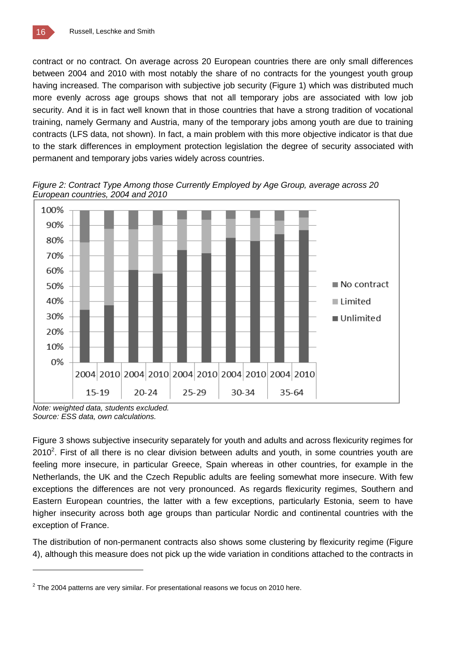contract or no contract. On average across 20 European countries there are only small differences between 2004 and 2010 with most notably the share of no contracts for the youngest youth group having increased. The comparison with subjective job security (Figure 1) which was distributed much more evenly across age groups shows that not all temporary jobs are associated with low job security. And it is in fact well known that in those countries that have a strong tradition of vocational training, namely Germany and Austria, many of the temporary jobs among youth are due to training contracts (LFS data, not shown). In fact, a main problem with this more objective indicator is that due to the stark differences in employment protection legislation the degree of security associated with permanent and temporary jobs varies widely across countries.



*Figure 2: Contract Type Among those Currently Employed by Age Group, average across 20 European countries, 2004 and 2010*

*Note: weighted data, students excluded. Source: ESS data, own calculations.* 

Figure 3 shows subjective insecurity separately for youth and adults and across flexicurity regimes for  $2010<sup>2</sup>$ . First of all there is no clear division between adults and youth, in some countries youth are feeling more insecure, in particular Greece, Spain whereas in other countries, for example in the Netherlands, the UK and the Czech Republic adults are feeling somewhat more insecure. With few exceptions the differences are not very pronounced. As regards flexicurity regimes, Southern and Eastern European countries, the latter with a few exceptions, particularly Estonia, seem to have higher insecurity across both age groups than particular Nordic and continental countries with the exception of France.

The distribution of non-permanent contracts also shows some clustering by flexicurity regime (Figure 4), although this measure does not pick up the wide variation in conditions attached to the contracts in

 $2$  The 2004 patterns are very similar. For presentational reasons we focus on 2010 here.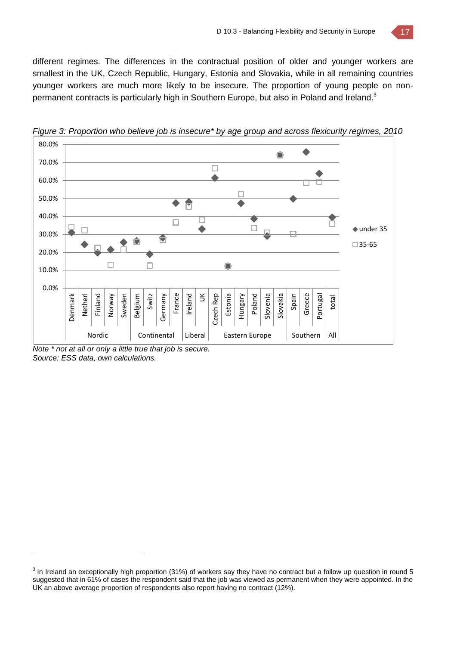different regimes. The differences in the contractual position of older and younger workers are smallest in the UK, Czech Republic, Hungary, Estonia and Slovakia, while in all remaining countries younger workers are much more likely to be insecure. The proportion of young people on nonpermanent contracts is particularly high in Southern Europe, but also in Poland and Ireland.<sup>3</sup>

![](_page_16_Figure_2.jpeg)

*Figure 3: Proportion who believe job is insecure\* by age group and across flexicurity regimes, 2010*

*Note \* not at all or only a little true that job is secure. Source: ESS data, own calculations.* 

 $^3$  In Ireland an exceptionally high proportion (31%) of workers say they have no contract but a follow up question in round 5 suggested that in 61% of cases the respondent said that the job was viewed as permanent when they were appointed. In the UK an above average proportion of respondents also report having no contract (12%).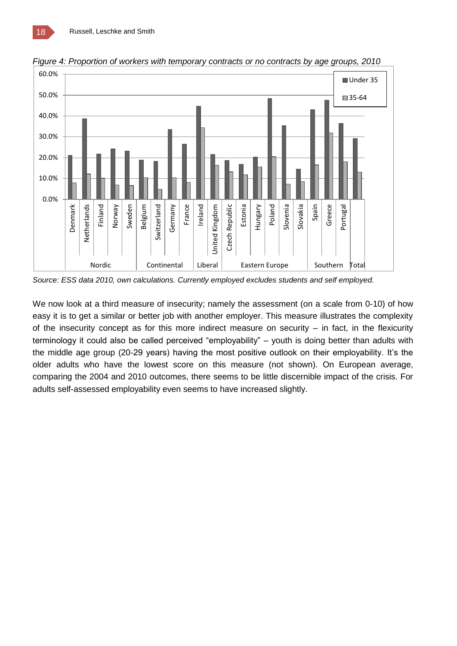![](_page_17_Figure_1.jpeg)

*Figure 4: Proportion of workers with temporary contracts or no contracts by age groups, 2010* 

*Source: ESS data 2010, own calculations. Currently employed excludes students and self employed.*

We now look at a third measure of insecurity; namely the assessment (on a scale from 0-10) of how easy it is to get a similar or better job with another employer. This measure illustrates the complexity of the insecurity concept as for this more indirect measure on security – in fact, in the flexicurity terminology it could also be called perceived "employability" – youth is doing better than adults with the middle age group (20-29 years) having the most positive outlook on their employability. It's the older adults who have the lowest score on this measure (not shown). On European average, comparing the 2004 and 2010 outcomes, there seems to be little discernible impact of the crisis. For adults self-assessed employability even seems to have increased slightly.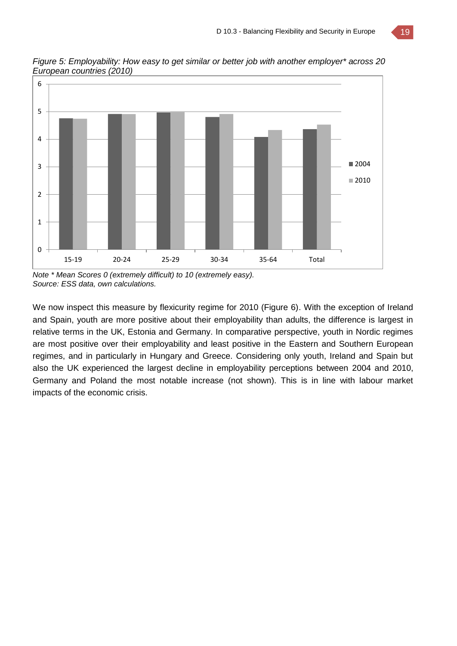![](_page_18_Figure_1.jpeg)

*Figure 5: Employability: How easy to get similar or better job with another employer\* across 20 European countries (2010)* 

*Note \* Mean Scores 0 (extremely difficult) to 10 (extremely easy). Source: ESS data, own calculations.* 

We now inspect this measure by flexicurity regime for 2010 (Figure 6). With the exception of Ireland and Spain, youth are more positive about their employability than adults, the difference is largest in relative terms in the UK, Estonia and Germany. In comparative perspective, youth in Nordic regimes are most positive over their employability and least positive in the Eastern and Southern European regimes, and in particularly in Hungary and Greece. Considering only youth, Ireland and Spain but also the UK experienced the largest decline in employability perceptions between 2004 and 2010, Germany and Poland the most notable increase (not shown). This is in line with labour market impacts of the economic crisis.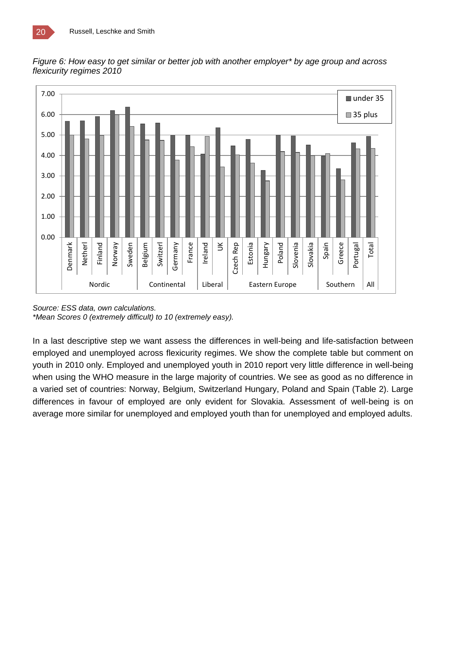![](_page_19_Figure_1.jpeg)

*Figure 6: How easy to get similar or better job with another employer\* by age group and across flexicurity regimes 2010*

In a last descriptive step we want assess the differences in well-being and life-satisfaction between employed and unemployed across flexicurity regimes. We show the complete table but comment on youth in 2010 only. Employed and unemployed youth in 2010 report very little difference in well-being when using the WHO measure in the large majority of countries. We see as good as no difference in a varied set of countries: Norway, Belgium, Switzerland Hungary, Poland and Spain (Table 2). Large differences in favour of employed are only evident for Slovakia. Assessment of well-being is on average more similar for unemployed and employed youth than for unemployed and employed adults.

*Source: ESS data, own calculations. \*Mean Scores 0 (extremely difficult) to 10 (extremely easy).*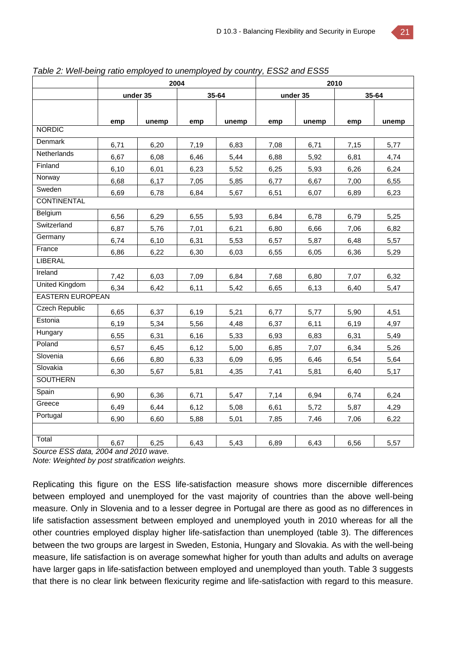|                         | 2004 |          |      | 2010  |          |       |       |       |
|-------------------------|------|----------|------|-------|----------|-------|-------|-------|
|                         |      | under 35 |      | 35-64 | under 35 |       | 35-64 |       |
|                         |      |          |      |       |          |       |       |       |
|                         | emp  | unemp    | emp  | unemp | emp      | unemp | emp   | unemp |
| <b>NORDIC</b>           |      |          |      |       |          |       |       |       |
| Denmark                 | 6,71 | 6,20     | 7,19 | 6,83  | 7,08     | 6,71  | 7,15  | 5,77  |
| Netherlands             | 6,67 | 6,08     | 6,46 | 5,44  | 6,88     | 5,92  | 6,81  | 4,74  |
| Finland                 | 6,10 | 6,01     | 6,23 | 5,52  | 6,25     | 5,93  | 6,26  | 6,24  |
| Norway                  | 6,68 | 6,17     | 7,05 | 5,85  | 6,77     | 6,67  | 7,00  | 6,55  |
| Sweden                  | 6,69 | 6,78     | 6,84 | 5,67  | 6,51     | 6,07  | 6,89  | 6,23  |
| <b>CONTINENTAL</b>      |      |          |      |       |          |       |       |       |
| <b>Belgium</b>          | 6,56 | 6,29     | 6,55 | 5,93  | 6,84     | 6,78  | 6,79  | 5,25  |
| Switzerland             | 6,87 | 5,76     | 7,01 | 6,21  | 6,80     | 6,66  | 7,06  | 6,82  |
| Germany                 | 6,74 | 6,10     | 6,31 | 5,53  | 6,57     | 5,87  | 6,48  | 5,57  |
| France                  | 6,86 | 6,22     | 6,30 | 6,03  | 6,55     | 6,05  | 6,36  | 5,29  |
| <b>LIBERAL</b>          |      |          |      |       |          |       |       |       |
| Ireland                 | 7,42 | 6,03     | 7,09 | 6,84  | 7,68     | 6,80  | 7,07  | 6,32  |
| <b>United Kingdom</b>   | 6,34 | 6,42     | 6,11 | 5,42  | 6,65     | 6,13  | 6,40  | 5,47  |
| <b>EASTERN EUROPEAN</b> |      |          |      |       |          |       |       |       |
| <b>Czech Republic</b>   | 6,65 | 6,37     | 6,19 | 5,21  | 6,77     | 5,77  | 5,90  | 4,51  |
| Estonia                 | 6,19 | 5,34     | 5,56 | 4,48  | 6,37     | 6,11  | 6,19  | 4,97  |
| Hungary                 | 6,55 | 6,31     | 6,16 | 5,33  | 6,93     | 6,83  | 6,31  | 5,49  |
| Poland                  | 6,57 | 6,45     | 6,12 | 5,00  | 6,85     | 7,07  | 6,34  | 5,26  |
| Slovenia                | 6,66 | 6,80     | 6,33 | 6,09  | 6,95     | 6,46  | 6,54  | 5,64  |
| Slovakia                | 6,30 | 5,67     | 5,81 | 4,35  | 7,41     | 5,81  | 6,40  | 5,17  |
| <b>SOUTHERN</b>         |      |          |      |       |          |       |       |       |
| Spain                   | 6,90 | 6,36     | 6,71 | 5,47  | 7,14     | 6,94  | 6,74  | 6,24  |
| Greece                  | 6,49 | 6,44     | 6,12 | 5,08  | 6,61     | 5,72  | 5,87  | 4,29  |
| Portugal                | 6,90 | 6,60     | 5,88 | 5,01  | 7,85     | 7,46  | 7,06  | 6,22  |
|                         |      |          |      |       |          |       |       |       |
| Total                   | 6,67 | 6,25     | 6,43 | 5,43  | 6,89     | 6,43  | 6,56  | 5,57  |

*Table 2: Well-being ratio employed to unemployed by country, ESS2 and ESS5* 

*Source ESS data, 2004 and 2010 wave.*

*Note: Weighted by post stratification weights.*

Replicating this figure on the ESS life-satisfaction measure shows more discernible differences between employed and unemployed for the vast majority of countries than the above well-being measure. Only in Slovenia and to a lesser degree in Portugal are there as good as no differences in life satisfaction assessment between employed and unemployed youth in 2010 whereas for all the other countries employed display higher life-satisfaction than unemployed (table 3). The differences between the two groups are largest in Sweden, Estonia, Hungary and Slovakia. As with the well-being measure, life satisfaction is on average somewhat higher for youth than adults and adults on average have larger gaps in life-satisfaction between employed and unemployed than youth. Table 3 suggests that there is no clear link between flexicurity regime and life-satisfaction with regard to this measure.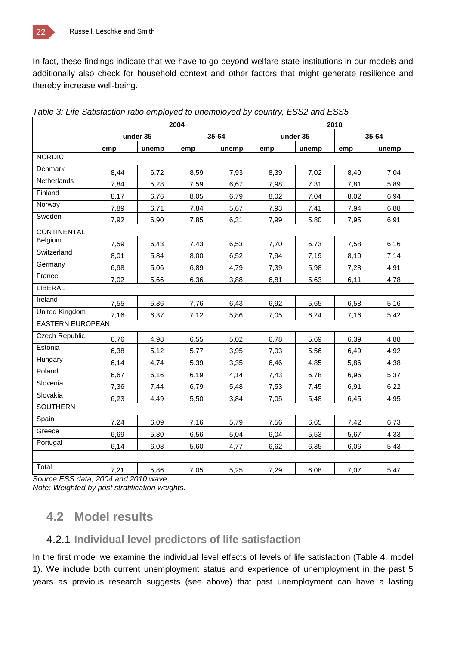In fact, these findings indicate that we have to go beyond welfare state institutions in our models and additionally also check for household context and other factors that might generate resilience and thereby increase well-being.

|                         |      | 2004     |      |       | 2010 |          |      |       |
|-------------------------|------|----------|------|-------|------|----------|------|-------|
|                         |      | under 35 |      | 35-64 |      | under 35 |      | 35-64 |
|                         | emp  | unemp    | emp  | unemp | emp  | unemp    | emp  | unemp |
| <b>NORDIC</b>           |      |          |      |       |      |          |      |       |
| Denmark                 | 8,44 | 6,72     | 8,59 | 7,93  | 8,39 | 7,02     | 8,40 | 7,04  |
| Netherlands             | 7,84 | 5,28     | 7,59 | 6,67  | 7,98 | 7,31     | 7,81 | 5,89  |
| Finland                 | 8,17 | 6,76     | 8,05 | 6,79  | 8,02 | 7,04     | 8,02 | 6,94  |
| Norway                  | 7,89 | 6,71     | 7,84 | 5,67  | 7,93 | 7,41     | 7,94 | 6,88  |
| Sweden                  | 7,92 | 6,90     | 7,85 | 6,31  | 7,99 | 5,80     | 7,95 | 6,91  |
| <b>CONTINENTAL</b>      |      |          |      |       |      |          |      |       |
| Belgium                 | 7,59 | 6,43     | 7,43 | 6,53  | 7,70 | 6,73     | 7,58 | 6,16  |
| Switzerland             | 8,01 | 5,84     | 8,00 | 6,52  | 7,94 | 7,19     | 8,10 | 7,14  |
| Germany                 | 6,98 | 5,06     | 6,89 | 4,79  | 7,39 | 5,98     | 7,28 | 4,91  |
| France                  | 7,02 | 5,66     | 6,36 | 3,88  | 6,81 | 5,63     | 6,11 | 4,78  |
| <b>LIBERAL</b>          |      |          |      |       |      |          |      |       |
| Ireland                 | 7,55 | 5,86     | 7,76 | 6,43  | 6,92 | 5,65     | 6,58 | 5,16  |
| <b>United Kingdom</b>   | 7,16 | 6,37     | 7,12 | 5,86  | 7,05 | 6,24     | 7,16 | 5,42  |
| <b>EASTERN EUROPEAN</b> |      |          |      |       |      |          |      |       |
| <b>Czech Republic</b>   | 6,76 | 4,98     | 6,55 | 5,02  | 6,78 | 5,69     | 6,39 | 4,88  |
| Estonia                 | 6,38 | 5,12     | 5,77 | 3,95  | 7,03 | 5,56     | 6,49 | 4,92  |
| Hungary                 | 6,14 | 4,74     | 5,39 | 3,35  | 6,46 | 4,85     | 5,86 | 4,38  |
| Poland                  | 6,67 | 6,16     | 6,19 | 4,14  | 7,43 | 6,78     | 6,96 | 5,37  |
| Slovenia                | 7,36 | 7,44     | 6,79 | 5,48  | 7,53 | 7,45     | 6,91 | 6,22  |
| Slovakia                | 6,23 | 4,49     | 5,50 | 3,84  | 7,05 | 5,48     | 6,45 | 4,95  |
| <b>SOUTHERN</b>         |      |          |      |       |      |          |      |       |
| Spain                   | 7,24 | 6,09     | 7,16 | 5,79  | 7,56 | 6,65     | 7,42 | 6,73  |
| Greece                  | 6,69 | 5,80     | 6,56 | 5,04  | 6,04 | 5,53     | 5,67 | 4,33  |
| Portugal                | 6,14 | 6,08     | 5,60 | 4,77  | 6,62 | 6,35     | 6,06 | 5,43  |
|                         |      |          |      |       |      |          |      |       |
| Total                   | 7,21 | 5,86     | 7,05 | 5,25  | 7,29 | 6,08     | 7,07 | 5.47  |

*Table 3: Life Satisfaction ratio employed to unemployed by country, ESS2 and ESS5*

*Source ESS data, 2004 and 2010 wave.*

*Note: Weighted by post stratification weights.*

### **4.2 Model results**

### 4.2.1 **Individual level predictors of life satisfaction**

In the first model we examine the individual level effects of levels of life satisfaction (Table 4, model 1). We include both current unemployment status and experience of unemployment in the past 5 years as previous research suggests (see above) that past unemployment can have a lasting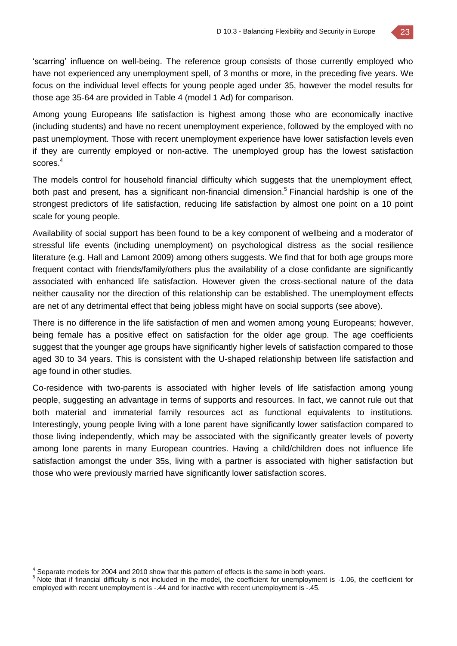'scarring' influence on well-being. The reference group consists of those currently employed who have not experienced any unemployment spell, of 3 months or more, in the preceding five years. We focus on the individual level effects for young people aged under 35, however the model results for those age 35-64 are provided in Table 4 (model 1 Ad) for comparison.

Among young Europeans life satisfaction is highest among those who are economically inactive (including students) and have no recent unemployment experience, followed by the employed with no past unemployment. Those with recent unemployment experience have lower satisfaction levels even if they are currently employed or non-active. The unemployed group has the lowest satisfaction scores.<sup>4</sup>

The models control for household financial difficulty which suggests that the unemployment effect, both past and present, has a significant non-financial dimension.<sup>5</sup> Financial hardship is one of the strongest predictors of life satisfaction, reducing life satisfaction by almost one point on a 10 point scale for young people.

Availability of social support has been found to be a key component of wellbeing and a moderator of stressful life events (including unemployment) on psychological distress as the social resilience literature (e.g. Hall and Lamont 2009) among others suggests. We find that for both age groups more frequent contact with friends/family/others plus the availability of a close confidante are significantly associated with enhanced life satisfaction. However given the cross-sectional nature of the data neither causality nor the direction of this relationship can be established. The unemployment effects are net of any detrimental effect that being jobless might have on social supports (see above).

There is no difference in the life satisfaction of men and women among young Europeans; however, being female has a positive effect on satisfaction for the older age group. The age coefficients suggest that the younger age groups have significantly higher levels of satisfaction compared to those aged 30 to 34 years. This is consistent with the U-shaped relationship between life satisfaction and age found in other studies.

Co-residence with two-parents is associated with higher levels of life satisfaction among young people, suggesting an advantage in terms of supports and resources. In fact, we cannot rule out that both material and immaterial family resources act as functional equivalents to institutions. Interestingly, young people living with a lone parent have significantly lower satisfaction compared to those living independently, which may be associated with the significantly greater levels of poverty among lone parents in many European countries. Having a child/children does not influence life satisfaction amongst the under 35s, living with a partner is associated with higher satisfaction but those who were previously married have significantly lower satisfaction scores.

 $<sup>4</sup>$  Separate models for 2004 and 2010 show that this pattern of effects is the same in both years.</sup>

<sup>5</sup> Note that if financial difficulty is not included in the model, the coefficient for unemployment is -1.06, the coefficient for employed with recent unemployment is -.44 and for inactive with recent unemployment is -.45.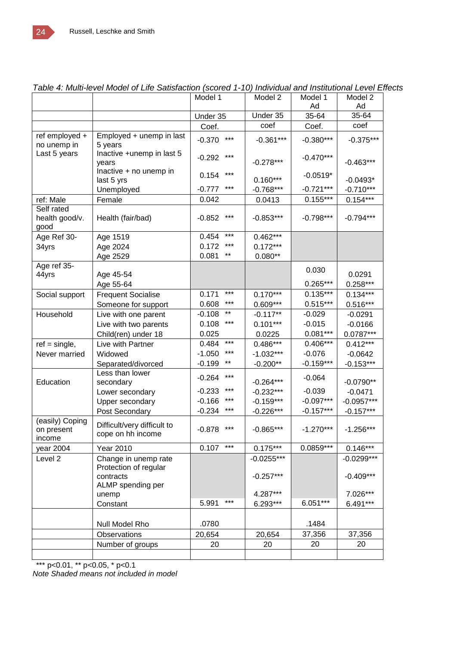|                                         |                                                  | Model 1           | Model 2      | Model 1     | Model 2      |
|-----------------------------------------|--------------------------------------------------|-------------------|--------------|-------------|--------------|
|                                         |                                                  |                   |              | Ad          | Ad           |
|                                         |                                                  | Under 35          | Under 35     | 35-64       | 35-64        |
|                                         |                                                  | Coef.             | coef         | Coef.       | coef         |
| ref employed +<br>no unemp in           | Employed + unemp in last<br>5 years              | $***$<br>$-0.370$ | $-0.361***$  | $-0.380***$ | $-0.375***$  |
| Last 5 years                            | Inactive +unemp in last 5<br>years               | ***<br>$-0.292$   | $-0.278***$  | $-0.470***$ | $-0.463***$  |
|                                         | Inactive + no unemp in<br>last 5 yrs             | ***<br>0.154      | $0.160***$   | $-0.0519*$  | $-0.0493*$   |
|                                         | Unemployed                                       | ***<br>$-0.777$   | $-0.768***$  | $-0.721***$ | $-0.710***$  |
| ref: Male                               | Female                                           | 0.042             | 0.0413       | $0.155***$  | $0.154***$   |
| Self rated<br>health good/v.<br>good    | Health (fair/bad)                                | ***<br>$-0.852$   | $-0.853***$  | $-0.798***$ | $-0.794***$  |
| Age Ref 30-                             | Age 1519                                         | ***<br>0.454      | $0.462***$   |             |              |
| 34yrs                                   | Age 2024                                         | ***<br>0.172      | $0.172***$   |             |              |
|                                         | Age 2529                                         | 0.081<br>$***$    | $0.080**$    |             |              |
| Age ref 35-<br>44yrs                    | Age 45-54                                        |                   |              | 0.030       | 0.0291       |
|                                         | Age 55-64                                        |                   |              | $0.265***$  | $0.258***$   |
| Social support                          | <b>Frequent Socialise</b>                        | ***<br>0.171      | $0.170***$   | $0.135***$  | $0.134***$   |
|                                         | Someone for support                              | ***<br>0.608      | $0.609***$   | $0.515***$  | $0.516***$   |
| Household                               | Live with one parent                             | $***$<br>$-0.108$ | $-0.117**$   | $-0.029$    | $-0.0291$    |
|                                         | Live with two parents                            | ***<br>0.108      | $0.101***$   | $-0.015$    | $-0.0166$    |
|                                         | Child(ren) under 18                              | 0.025             | 0.0225       | $0.081***$  | 0.0787***    |
| $ref = single,$                         | Live with Partner                                | $***$<br>0.484    | $0.486***$   | $0.406***$  | $0.412***$   |
| Never married                           | Widowed                                          | ***<br>$-1.050$   | $-1.032***$  | $-0.076$    | $-0.0642$    |
|                                         | Separated/divorced                               | $-0.199$<br>$***$ | $-0.200**$   | $-0.159***$ | $-0.153***$  |
| Education                               | Less than lower<br>secondary                     | $***$<br>$-0.264$ | $-0.264***$  | $-0.064$    | $-0.0790**$  |
|                                         | Lower secondary                                  | ***<br>$-0.233$   | $-0.232***$  | $-0.039$    | $-0.0471$    |
|                                         | Upper secondary                                  | ***<br>$-0.166$   | $-0.159***$  | $-0.097***$ | $-0.0957***$ |
|                                         | Post Secondary                                   | ***<br>$-0.234$   | $-0.226***$  | $-0.157***$ | $-0.157***$  |
| (easily) Coping<br>on present<br>income | Difficult/very difficult to<br>cope on hh income | ***<br>$-0.878$   | $-0.865***$  | $-1.270***$ | $-1.256***$  |
| year 2004                               | Year 2010                                        | $***$<br>0.107    | $0.175***$   | $0.0859***$ | $0.146***$   |
| Level 2                                 | Change in unemp rate                             |                   | $-0.0255***$ |             | $-0.0299***$ |
|                                         | Protection of regular<br>contracts               |                   | $-0.257***$  |             | $-0.409***$  |
|                                         | ALMP spending per<br>unemp                       |                   | 4.287***     |             | 7.026***     |
|                                         | Constant                                         | $***$<br>5.991    | 6.293***     | $6.051***$  | 6.491***     |
|                                         |                                                  |                   |              |             |              |
|                                         | Null Model Rho                                   | .0780             |              | .1484       |              |
|                                         | Observations                                     | 20,654            | 20,654       | 37,356      | 37,356       |
|                                         | Number of groups                                 | 20                | 20           | 20          | 20           |
|                                         |                                                  |                   |              |             |              |

#### *Table 4: Multi-level Model of Life Satisfaction (scored 1-10) Individual and Institutional Level Effects*

\*\*\* p<0.01, \*\* p<0.05, \* p<0.1 *Note Shaded means not included in model*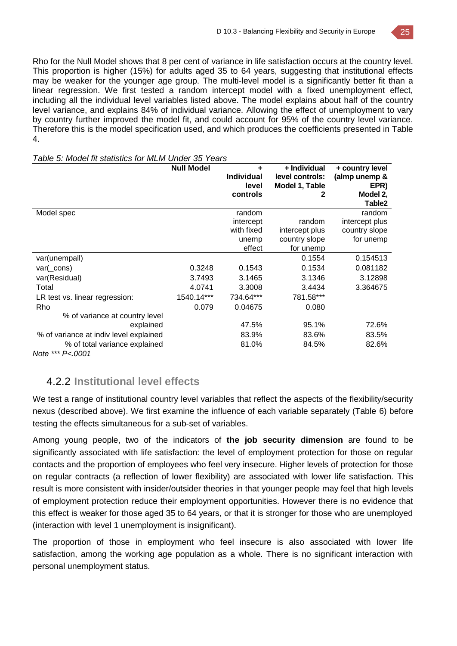Rho for the Null Model shows that 8 per cent of variance in life satisfaction occurs at the country level. This proportion is higher (15%) for adults aged 35 to 64 years, suggesting that institutional effects may be weaker for the younger age group. The multi-level model is a significantly better fit than a linear regression. We first tested a random intercept model with a fixed unemployment effect, including all the individual level variables listed above. The model explains about half of the country level variance, and explains 84% of individual variance. Allowing the effect of unemployment to vary by country further improved the model fit, and could account for 95% of the country level variance. Therefore this is the model specification used, and which produces the coefficients presented in Table 4.

|                                        | <b>Null Model</b> | ٠<br><b>Individual</b><br>level<br>controls | + Individual<br>level controls:<br>Model 1, Table<br>2 | + country level<br>(almp unemp &<br>EPR)<br>Model 2,<br>Table <sub>2</sub> |
|----------------------------------------|-------------------|---------------------------------------------|--------------------------------------------------------|----------------------------------------------------------------------------|
| Model spec                             |                   | random                                      |                                                        | random                                                                     |
|                                        |                   | intercept                                   | random                                                 | intercept plus                                                             |
|                                        |                   | with fixed                                  | intercept plus                                         | country slope                                                              |
|                                        |                   | unemp                                       | country slope                                          | for unemp                                                                  |
|                                        |                   | effect                                      | for unemp                                              |                                                                            |
| var(unempall)                          |                   |                                             | 0.1554                                                 | 0.154513                                                                   |
| $var(\_cons)$                          | 0.3248            | 0.1543                                      | 0.1534                                                 | 0.081182                                                                   |
| var(Residual)                          | 3.7493            | 3.1465                                      | 3.1346                                                 | 3.12898                                                                    |
| Total                                  | 4.0741            | 3.3008                                      | 3.4434                                                 | 3.364675                                                                   |
| LR test vs. linear regression:         | 1540.14***        | 734.64***                                   | 781.58***                                              |                                                                            |
| Rho                                    | 0.079             | 0.04675                                     | 0.080                                                  |                                                                            |
| % of variance at country level         |                   |                                             |                                                        |                                                                            |
| explained                              |                   | 47.5%                                       | 95.1%                                                  | 72.6%                                                                      |
| % of variance at indiv level explained |                   | 83.9%                                       | 83.6%                                                  | 83.5%                                                                      |
| % of total variance explained          |                   | 81.0%                                       | 84.5%                                                  | 82.6%                                                                      |

#### *Table 5: Model fit statistics for MLM Under 35 Years*

*Note \*\*\* P<.0001*

### 4.2.2 **Institutional level effects**

We test a range of institutional country level variables that reflect the aspects of the flexibility/security nexus (described above). We first examine the influence of each variable separately (Table 6) before testing the effects simultaneous for a sub-set of variables.

Among young people, two of the indicators of **the job security dimension** are found to be significantly associated with life satisfaction: the level of employment protection for those on regular contacts and the proportion of employees who feel very insecure. Higher levels of protection for those on regular contracts (a reflection of lower flexibility) are associated with lower life satisfaction. This result is more consistent with insider/outsider theories in that younger people may feel that high levels of employment protection reduce their employment opportunities. However there is no evidence that this effect is weaker for those aged 35 to 64 years, or that it is stronger for those who are unemployed (interaction with level 1 unemployment is insignificant).

The proportion of those in employment who feel insecure is also associated with lower life satisfaction, among the working age population as a whole. There is no significant interaction with personal unemployment status.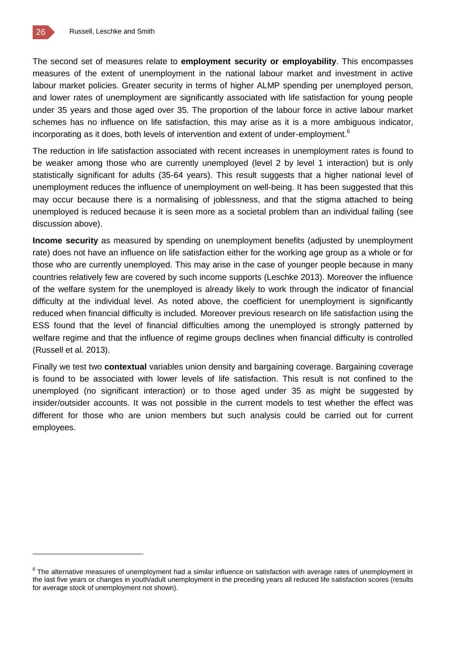The second set of measures relate to **employment security or employability**. This encompasses measures of the extent of unemployment in the national labour market and investment in active labour market policies. Greater security in terms of higher ALMP spending per unemployed person, and lower rates of unemployment are significantly associated with life satisfaction for young people under 35 years and those aged over 35. The proportion of the labour force in active labour market schemes has no influence on life satisfaction, this may arise as it is a more ambiguous indicator, incorporating as it does, both levels of intervention and extent of under-employment.<sup>6</sup>

The reduction in life satisfaction associated with recent increases in unemployment rates is found to be weaker among those who are currently unemployed (level 2 by level 1 interaction) but is only statistically significant for adults (35-64 years). This result suggests that a higher national level of unemployment reduces the influence of unemployment on well-being. It has been suggested that this may occur because there is a normalising of joblessness, and that the stigma attached to being unemployed is reduced because it is seen more as a societal problem than an individual failing (see discussion above).

**Income security** as measured by spending on unemployment benefits (adjusted by unemployment rate) does not have an influence on life satisfaction either for the working age group as a whole or for those who are currently unemployed. This may arise in the case of younger people because in many countries relatively few are covered by such income supports (Leschke 2013). Moreover the influence of the welfare system for the unemployed is already likely to work through the indicator of financial difficulty at the individual level. As noted above, the coefficient for unemployment is significantly reduced when financial difficulty is included. Moreover previous research on life satisfaction using the ESS found that the level of financial difficulties among the unemployed is strongly patterned by welfare regime and that the influence of regime groups declines when financial difficulty is controlled (Russell et al. 2013).

Finally we test two **contextual** variables union density and bargaining coverage. Bargaining coverage is found to be associated with lower levels of life satisfaction. This result is not confined to the unemployed (no significant interaction) or to those aged under 35 as might be suggested by insider/outsider accounts. It was not possible in the current models to test whether the effect was different for those who are union members but such analysis could be carried out for current employees.

<sup>&</sup>lt;sup>6</sup> The alternative measures of unemployment had a similar influence on satisfaction with average rates of unemployment in the last five years or changes in youth/adult unemployment in the preceding years all reduced life satisfaction scores (results for average stock of unemployment not shown).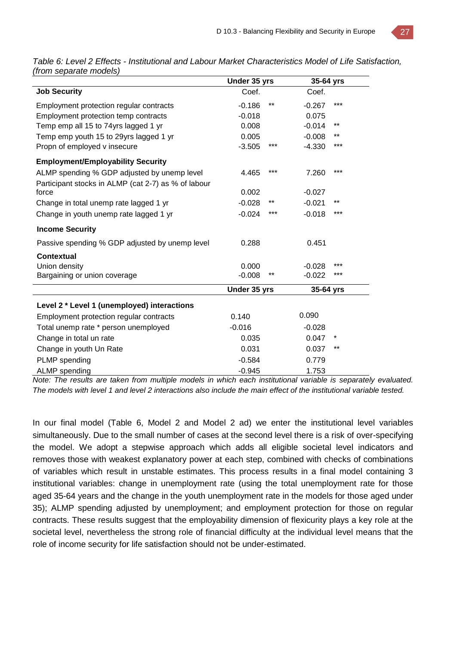*Table 6: Level 2 Effects - Institutional and Labour Market Characteristics Model of Life Satisfaction, (from separate models)* 

|                                                     | Under 35 yrs |       | 35-64 yrs |       |
|-----------------------------------------------------|--------------|-------|-----------|-------|
| <b>Job Security</b>                                 | Coef.        |       | Coef.     |       |
| Employment protection regular contracts             | $-0.186$     | $***$ | $-0.267$  | ***   |
| Employment protection temp contracts                | $-0.018$     |       | 0.075     |       |
| Temp emp all 15 to 74yrs lagged 1 yr                | 0.008        |       | $-0.014$  | $***$ |
| Temp emp youth 15 to 29yrs lagged 1 yr              | 0.005        |       | $-0.008$  | **    |
| Propn of employed v insecure                        | $-3.505$     | ***   | $-4.330$  | ***   |
| <b>Employment/Employability Security</b>            |              |       |           |       |
| ALMP spending % GDP adjusted by unemp level         | 4.465        | ***   | 7.260     | $***$ |
| Participant stocks in ALMP (cat 2-7) as % of labour |              |       |           |       |
| force                                               | 0.002        |       | $-0.027$  |       |
| Change in total unemp rate lagged 1 yr              | $-0.028$     | $***$ | $-0.021$  | $***$ |
| Change in youth unemp rate lagged 1 yr              | $-0.024$     | ***   | $-0.018$  | ***   |
| <b>Income Security</b>                              |              |       |           |       |
| Passive spending % GDP adjusted by unemp level      | 0.288        |       | 0.451     |       |
| Contextual                                          |              |       |           |       |
| Union density                                       | 0.000        |       | $-0.028$  | $***$ |
| Bargaining or union coverage                        | $-0.008$     | **    | $-0.022$  | ***   |
|                                                     | Under 35 yrs |       | 35-64 yrs |       |
| Level 2 * Level 1 (unemployed) interactions         |              |       |           |       |
| Employment protection regular contracts             | 0.140        |       | 0.090     |       |
| Total unemp rate * person unemployed                | $-0.016$     |       | $-0.028$  |       |
| Change in total un rate                             | 0.035        |       | 0.047     | *     |
| Change in youth Un Rate                             | 0.031        |       | 0.037     | $***$ |
| PLMP spending                                       | $-0.584$     |       | 0.779     |       |
| <b>ALMP</b> spending                                | $-0.945$     |       | 1.753     |       |

*Note: The results are taken from multiple models in which each institutional variable is separately evaluated. The models with level 1 and level 2 interactions also include the main effect of the institutional variable tested.* 

In our final model (Table 6, Model 2 and Model 2 ad) we enter the institutional level variables simultaneously. Due to the small number of cases at the second level there is a risk of over-specifying the model. We adopt a stepwise approach which adds all eligible societal level indicators and removes those with weakest explanatory power at each step, combined with checks of combinations of variables which result in unstable estimates. This process results in a final model containing 3 institutional variables: change in unemployment rate (using the total unemployment rate for those aged 35-64 years and the change in the youth unemployment rate in the models for those aged under 35); ALMP spending adjusted by unemployment; and employment protection for those on regular contracts. These results suggest that the employability dimension of flexicurity plays a key role at the societal level, nevertheless the strong role of financial difficulty at the individual level means that the role of income security for life satisfaction should not be under-estimated.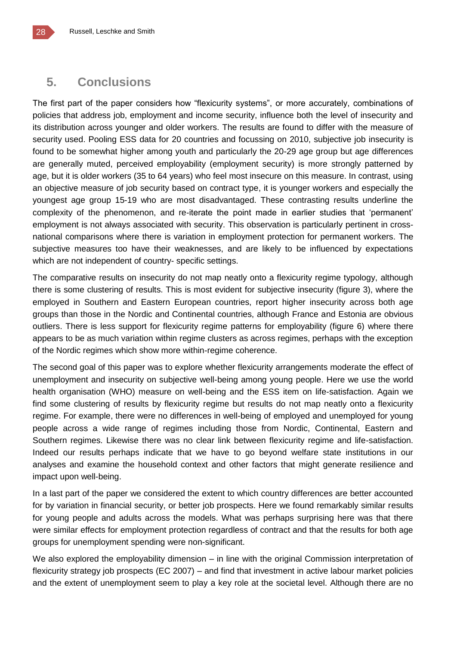### **5. Conclusions**

The first part of the paper considers how "flexicurity systems", or more accurately, combinations of policies that address job, employment and income security, influence both the level of insecurity and its distribution across younger and older workers. The results are found to differ with the measure of security used. Pooling ESS data for 20 countries and focussing on 2010, subjective job insecurity is found to be somewhat higher among youth and particularly the 20-29 age group but age differences are generally muted, perceived employability (employment security) is more strongly patterned by age, but it is older workers (35 to 64 years) who feel most insecure on this measure. In contrast, using an objective measure of job security based on contract type, it is younger workers and especially the youngest age group 15-19 who are most disadvantaged. These contrasting results underline the complexity of the phenomenon, and re-iterate the point made in earlier studies that 'permanent' employment is not always associated with security. This observation is particularly pertinent in crossnational comparisons where there is variation in employment protection for permanent workers. The subjective measures too have their weaknesses, and are likely to be influenced by expectations which are not independent of country- specific settings.

The comparative results on insecurity do not map neatly onto a flexicurity regime typology, although there is some clustering of results. This is most evident for subjective insecurity (figure 3), where the employed in Southern and Eastern European countries, report higher insecurity across both age groups than those in the Nordic and Continental countries, although France and Estonia are obvious outliers. There is less support for flexicurity regime patterns for employability (figure 6) where there appears to be as much variation within regime clusters as across regimes, perhaps with the exception of the Nordic regimes which show more within-regime coherence.

The second goal of this paper was to explore whether flexicurity arrangements moderate the effect of unemployment and insecurity on subjective well-being among young people. Here we use the world health organisation (WHO) measure on well-being and the ESS item on life-satisfaction. Again we find some clustering of results by flexicurity regime but results do not map neatly onto a flexicurity regime. For example, there were no differences in well-being of employed and unemployed for young people across a wide range of regimes including those from Nordic, Continental, Eastern and Southern regimes. Likewise there was no clear link between flexicurity regime and life-satisfaction. Indeed our results perhaps indicate that we have to go beyond welfare state institutions in our analyses and examine the household context and other factors that might generate resilience and impact upon well-being.

In a last part of the paper we considered the extent to which country differences are better accounted for by variation in financial security, or better job prospects. Here we found remarkably similar results for young people and adults across the models. What was perhaps surprising here was that there were similar effects for employment protection regardless of contract and that the results for both age groups for unemployment spending were non-significant.

We also explored the employability dimension – in line with the original Commission interpretation of flexicurity strategy job prospects (EC 2007) – and find that investment in active labour market policies and the extent of unemployment seem to play a key role at the societal level. Although there are no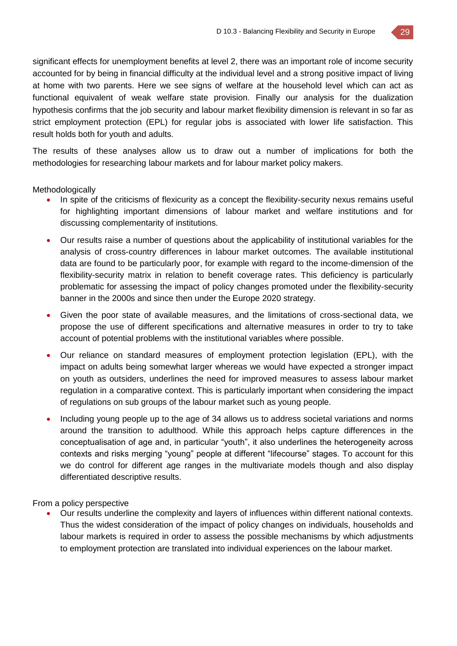significant effects for unemployment benefits at level 2, there was an important role of income security accounted for by being in financial difficulty at the individual level and a strong positive impact of living at home with two parents. Here we see signs of welfare at the household level which can act as functional equivalent of weak welfare state provision. Finally our analysis for the dualization hypothesis confirms that the job security and labour market flexibility dimension is relevant in so far as strict employment protection (EPL) for regular jobs is associated with lower life satisfaction. This result holds both for youth and adults.

The results of these analyses allow us to draw out a number of implications for both the methodologies for researching labour markets and for labour market policy makers.

**Methodologically** 

- In spite of the criticisms of flexicurity as a concept the flexibility-security nexus remains useful for highlighting important dimensions of labour market and welfare institutions and for discussing complementarity of institutions.
- Our results raise a number of questions about the applicability of institutional variables for the analysis of cross-country differences in labour market outcomes. The available institutional data are found to be particularly poor, for example with regard to the income-dimension of the flexibility-security matrix in relation to benefit coverage rates. This deficiency is particularly problematic for assessing the impact of policy changes promoted under the flexibility-security banner in the 2000s and since then under the Europe 2020 strategy.
- Given the poor state of available measures, and the limitations of cross-sectional data, we propose the use of different specifications and alternative measures in order to try to take account of potential problems with the institutional variables where possible.
- Our reliance on standard measures of employment protection legislation (EPL), with the impact on adults being somewhat larger whereas we would have expected a stronger impact on youth as outsiders, underlines the need for improved measures to assess labour market regulation in a comparative context. This is particularly important when considering the impact of regulations on sub groups of the labour market such as young people.
- Including young people up to the age of 34 allows us to address societal variations and norms around the transition to adulthood. While this approach helps capture differences in the conceptualisation of age and, in particular "youth", it also underlines the heterogeneity across contexts and risks merging "young" people at different "lifecourse" stages. To account for this we do control for different age ranges in the multivariate models though and also display differentiated descriptive results.

From a policy perspective

 Our results underline the complexity and layers of influences within different national contexts. Thus the widest consideration of the impact of policy changes on individuals, households and labour markets is required in order to assess the possible mechanisms by which adjustments to employment protection are translated into individual experiences on the labour market.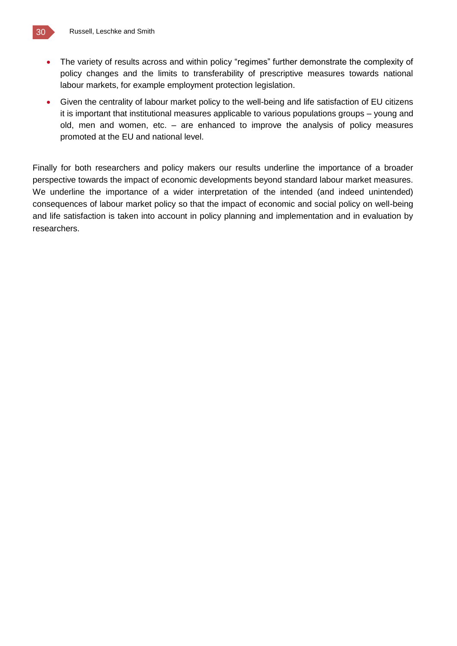![](_page_29_Picture_0.jpeg)

- The variety of results across and within policy "regimes" further demonstrate the complexity of policy changes and the limits to transferability of prescriptive measures towards national labour markets, for example employment protection legislation.
- Given the centrality of labour market policy to the well-being and life satisfaction of EU citizens it is important that institutional measures applicable to various populations groups – young and old, men and women, etc. – are enhanced to improve the analysis of policy measures promoted at the EU and national level.

Finally for both researchers and policy makers our results underline the importance of a broader perspective towards the impact of economic developments beyond standard labour market measures. We underline the importance of a wider interpretation of the intended (and indeed unintended) consequences of labour market policy so that the impact of economic and social policy on well-being and life satisfaction is taken into account in policy planning and implementation and in evaluation by researchers.

![](_page_29_Picture_4.jpeg)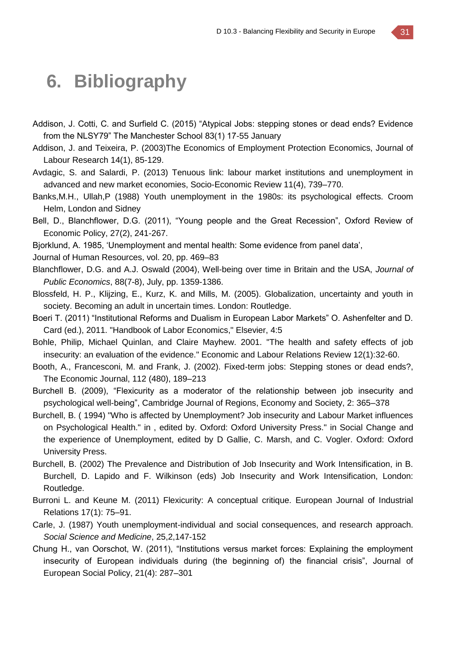## **6. Bibliography**

- Addison, J. Cotti, C. and Surfield C. (2015) "Atypical Jobs: stepping stones or dead ends? Evidence from the NLSY79" The Manchester School 83(1) 17-55 January
- Addison, J. and Teixeira, P. (2003)The Economics of Employment Protection Economics, Journal of Labour Research 14(1), 85-129.
- Avdagic, S. and Salardi, P. (2013) Tenuous link: labour market institutions and unemployment in advanced and new market economies, Socio-Economic Review 11(4), 739–770.
- Banks,M.H., Ullah,P (1988) Youth unemployment in the 1980s: its psychological effects. Croom Helm, London and Sidney
- Bell, D., Blanchflower, D.G. (2011), "Young people and the Great Recession", Oxford Review of Economic Policy, 27(2), 241-267.
- Bjorklund, A. 1985, 'Unemployment and mental health: Some evidence from panel data',
- Journal of Human Resources, vol. 20, pp. 469–83
- Blanchflower, D.G. and A.J. Oswald (2004), Well-being over time in Britain and the USA, *Journal of Public Economics*, 88(7-8), July, pp. 1359-1386.
- Blossfeld, H. P., Klijzing, E., Kurz, K. and Mills, M. (2005). Globalization, uncertainty and youth in society. Becoming an adult in uncertain times. London: Routledge.
- Boeri T. (2011) "Institutional Reforms and Dualism in European Labor Markets" O. Ashenfelter and D. Card (ed.), 2011. "Handbook of Labor Economics," Elsevier, 4:5
- Bohle, Philip, Michael Quinlan, and Claire Mayhew. 2001. "The health and safety effects of job insecurity: an evaluation of the evidence." Economic and Labour Relations Review 12(1):32-60.
- Booth, A., Francesconi, M. and Frank, J. (2002). Fixed-term jobs: Stepping stones or dead ends?, The Economic Journal, 112 (480), 189–213
- Burchell B. (2009), "Flexicurity as a moderator of the relationship between job insecurity and psychological well-being", Cambridge Journal of Regions, Economy and Society, 2: 365–378
- Burchell, B. ( 1994) "Who is affected by Unemployment? Job insecurity and Labour Market influences on Psychological Health." in , edited by. Oxford: Oxford University Press." in Social Change and the experience of Unemployment, edited by D Gallie, C. Marsh, and C. Vogler. Oxford: Oxford University Press.
- Burchell, B. (2002) The Prevalence and Distribution of Job Insecurity and Work Intensification, in B. Burchell, D. Lapido and F. Wilkinson (eds) Job Insecurity and Work Intensification, London: Routledge.
- Burroni L. and Keune M. (2011) Flexicurity: A conceptual critique. European Journal of Industrial Relations 17(1): 75–91.
- Carle, J. (1987) Youth unemployment-individual and social consequences, and research approach. *Social Science and Medicine*, 25,2,147-152
- Chung H., van Oorschot, W. (2011), "Institutions versus market forces: Explaining the employment insecurity of European individuals during (the beginning of) the financial crisis", Journal of European Social Policy, 21(4): 287–301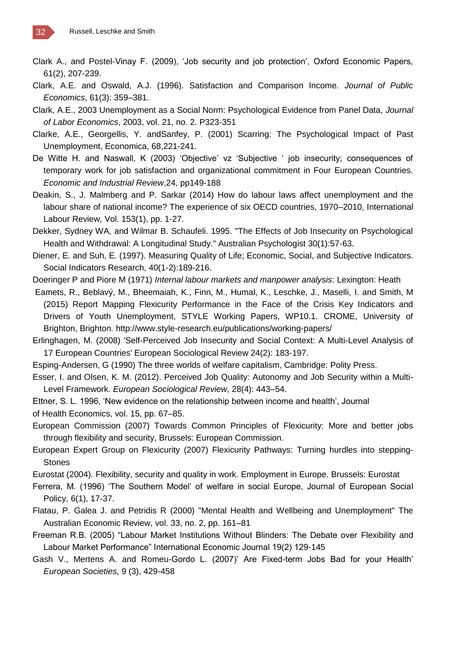- Clark A., and Postel-Vinay F. (2009), 'Job security and job protection', Oxford Economic Papers, 61(2), 207-239.
- Clark, A.E. and Oswald, A.J. (1996). Satisfaction and Comparison Income*. Journal of Public Economics*, 61(3): 359–381.
- Clark, A.E., 2003 Unemployment as a Social Norm: Psychological Evidence from Panel Data, *Journal of Labor Economics*, 2003, vol. 21, no. 2. P323-351
- Clarke, A.E., Georgellis, Y. andSanfey, P. (2001) Scarring: The Psychological Impact of Past Unemployment, Economica, 68,221-241.
- De Witte H. and Naswall, K (2003) 'Objective' vz 'Subjective ' job insecurity; consequences of temporary work for job satisfaction and organizational commitment in Four European Countries. *Economic and Industrial Review*,24, pp149-188
- Deakin, S., J. Malmberg and P. Sarkar (2014) How do labour laws affect unemployment and the labour share of national income? The experience of six OECD countries, 1970–2010, International Labour Review, Vol. 153(1), pp. 1-27.
- Dekker, Sydney WA, and Wilmar B. Schaufeli. 1995. "The Effects of Job Insecurity on Psychological Health and Withdrawal: A Longitudinal Study." Australian Psychologist 30(1):57-63.
- Diener, E. and Suh, E. (1997). Measuring Quality of Life; Economic, Social, and Subjective Indicators. Social Indicators Research, 40(1-2):189-216.
- Doeringer P and Piore M (1971) *Internal labour markets and manpower analysis*: Lexington: Heath
- Eamets, R., Beblavý, M., Bheemaiah, K., Finn, M., Humal, K., Leschke, J., Maselli, I. and Smith, M (2015) Report Mapping Flexicurity Performance in the Face of the Crisis Key Indicators and Drivers of Youth Unemployment, STYLE Working Papers, WP10.1. CROME, University of Brighton, Brighton. http://www.style-research.eu/publications/working-papers/
- Erlinghagen, M. (2008) 'Self-Perceived Job Insecurity and Social Context: A Multi-Level Analysis of 17 European Countries' European Sociological Review 24(2): 183-197.
- Esping-Andersen, G (1990) The three worlds of welfare capitalism, Cambridge: Polity Press.
- Esser, I. and Olsen, K. M. (2012). Perceived Job Quality: Autonomy and Job Security within a Multi-Level Framework. *European Sociological Review*, 28(4): 443–54.
- Ettner, S. L. 1996, 'New evidence on the relationship between income and health', Journal of Health Economics, vol. 15, pp. 67–85.
- European Commission (2007) Towards Common Principles of Flexicurity: More and better jobs through flexibility and security, Brussels: European Commission.
- European Expert Group on Flexicurity (2007) Flexicurity Pathways: Turning hurdles into stepping-**Stones**
- Eurostat (2004). Flexibility, security and quality in work. Employment in Europe. Brussels: Eurostat
- Ferrera, M. (1996) 'The Southern Model' of welfare in social Europe, Journal of European Social Policy, 6(1), 17-37.
- Flatau, P. Galea J. and Petridis R (2000) "Mental Health and Wellbeing and Unemployment" The Australian Economic Review, vol. 33, no. 2, pp. 161–81
- Freeman R.B. (2005) "Labour Market Institutions Without Blinders: The Debate over Flexibility and Labour Market Performance" International Economic Journal 19(2) 129-145
- Gash V., Mertens A. and Romeu-Gordo L. (2007)' Are Fixed-term Jobs Bad for your Health' *European Societies*, 9 (3), 429-458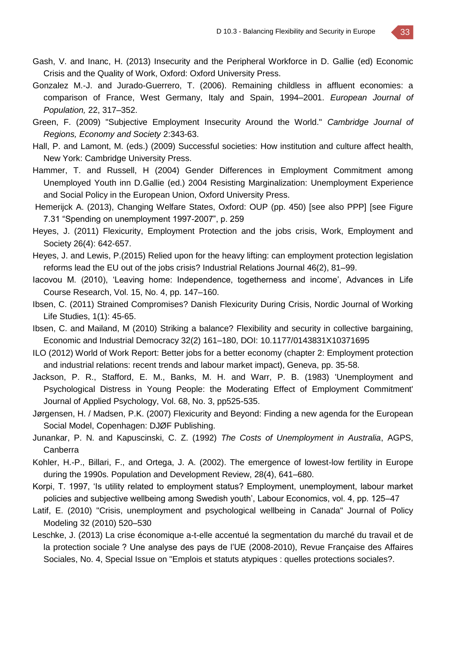- Gash, V. and Inanc, H. (2013) Insecurity and the Peripheral Workforce in D. Gallie (ed) Economic Crisis and the Quality of Work, Oxford: Oxford University Press.
- Gonzalez M.-J. and Jurado-Guerrero, T. (2006). Remaining childless in affluent economies: a comparison of France, West Germany, Italy and Spain, 1994–2001. *European Journal of Population,* 22, 317–352.
- Green, F. (2009) "Subjective Employment Insecurity Around the World." *Cambridge Journal of Regions, Economy and Society* 2:343-63.
- Hall, P. and Lamont, M. (eds.) (2009) Successful societies: How institution and culture affect health, New York: Cambridge University Press.
- Hammer, T. and Russell, H (2004) Gender Differences in Employment Commitment among Unemployed Youth inn D.Gallie (ed.) 2004 Resisting Marginalization: Unemployment Experience and Social Policy in the European Union, Oxford University Press.
- Hemerijck A. (2013), Changing Welfare States, Oxford: OUP (pp. 450) [see also PPP] [see Figure 7.31 "Spending on unemployment 1997-2007", p. 259
- Heyes, J. (2011) Flexicurity, Employment Protection and the jobs crisis, Work, Employment and Society 26(4): 642-657.
- Heyes, J. and Lewis, P.(2015) Relied upon for the heavy lifting: can employment protection legislation reforms lead the EU out of the jobs crisis? Industrial Relations Journal 46(2), 81–99.
- Iacovou M. (2010), 'Leaving home: Independence, togetherness and income', Advances in Life Course Research, Vol. 15, No. 4, pp. 147–160.
- Ibsen, C. (2011) Strained Compromises? Danish Flexicurity During Crisis, Nordic Journal of Working Life Studies, 1(1): 45-65.
- Ibsen, C. and Mailand, M (2010) Striking a balance? Flexibility and security in collective bargaining, Economic and Industrial Democracy 32(2) 161–180, DOI: 10.1177/0143831X10371695
- ILO (2012) World of Work Report: Better jobs for a better economy (chapter 2: Employment protection and industrial relations: recent trends and labour market impact), Geneva, pp. 35-58.
- Jackson, P. R., Stafford, E. M., Banks, M. H. and Warr, P. B. (1983) 'Unemployment and Psychological Distress in Young People: the Moderating Effect of Employment Commitment' Journal of Applied Psychology, Vol. 68, No. 3, pp525-535.
- Jørgensen, H. / Madsen, P.K. (2007) Flexicurity and Beyond: Finding a new agenda for the European Social Model, Copenhagen: DJØF Publishing.
- Junankar, P. N. and Kapuscinski, C. Z. (1992) *The Costs of Unemployment in Australia*, AGPS, Canberra
- Kohler, H.-P., Billari, F., and Ortega, J. A. (2002). The emergence of lowest-low fertility in Europe during the 1990s. Population and Development Review, 28(4), 641–680.
- Korpi, T. 1997, 'Is utility related to employment status? Employment, unemployment, labour market policies and subjective wellbeing among Swedish youth', Labour Economics, vol. 4, pp. 125–47
- Latif, E. (2010) "Crisis, unemployment and psychological wellbeing in Canada" Journal of Policy Modeling 32 (2010) 520–530
- Leschke, J. (2013) La crise économique a-t-elle accentué la segmentation du marché du travail et de la protection sociale ? Une analyse des pays de l'UE (2008-2010), Revue Française des Affaires Sociales, No. 4, Special Issue on "Emplois et statuts atypiques : quelles protections sociales?.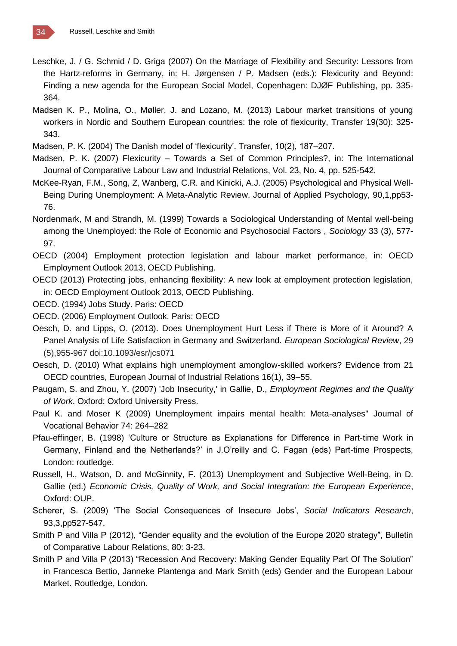- Leschke, J. / G. Schmid / D. Griga (2007) On the Marriage of Flexibility and Security: Lessons from the Hartz-reforms in Germany, in: H. Jørgensen / P. Madsen (eds.): Flexicurity and Beyond: Finding a new agenda for the European Social Model, Copenhagen: DJØF Publishing, pp. 335- 364.
- Madsen K. P., Molina, O., Møller, J. and Lozano, M. (2013) Labour market transitions of young workers in Nordic and Southern European countries: the role of flexicurity, Transfer 19(30): 325- 343.
- Madsen, P. K. (2004) The Danish model of 'flexicurity'. Transfer, 10(2), 187–207.
- Madsen, P. K. (2007) Flexicurity Towards a Set of Common Principles?, in: The International Journal of Comparative Labour Law and Industrial Relations, Vol. 23, No. 4, pp. 525-542.
- McKee-Ryan, F.M., Song, Z, Wanberg, C.R. and Kinicki, A.J. (2005) Psychological and Physical Well-Being During Unemployment: A Meta-Analytic Review, Journal of Applied Psychology, 90,1,pp53- 76.
- Nordenmark, M and Strandh, M. (1999) Towards a Sociological Understanding of Mental well-being among the Unemployed: the Role of Economic and Psychosocial Factors , *Sociology* 33 (3), 577- 97.
- OECD (2004) Employment protection legislation and labour market performance, in: OECD Employment Outlook 2013, OECD Publishing.
- OECD (2013) Protecting jobs, enhancing flexibility: A new look at employment protection legislation, in: OECD Employment Outlook 2013, OECD Publishing.

OECD. (1994) Jobs Study. Paris: OECD

OECD. (2006) Employment Outlook. Paris: OECD

- Oesch, D. and Lipps, O. (2013). Does Unemployment Hurt Less if There is More of it Around? A Panel Analysis of Life Satisfaction in Germany and Switzerland*. European Sociological Review*, 29 (5),955-967 doi:10.1093/esr/jcs071
- Oesch, D. (2010) What explains high unemployment amonglow-skilled workers? Evidence from 21 OECD countries, European Journal of Industrial Relations 16(1), 39–55.
- Paugam, S. and Zhou, Y. (2007) 'Job Insecurity,' in Gallie, D., *Employment Regimes and the Quality of Work*. Oxford: Oxford University Press.
- Paul K. and Moser K (2009) Unemployment impairs mental health: Meta-analyses" Journal of Vocational Behavior 74: 264–282
- Pfau-effinger, B. (1998) 'Culture or Structure as Explanations for Difference in Part-time Work in Germany, Finland and the Netherlands?' in J.O'reilly and C. Fagan (eds) Part-time Prospects, London: routledge.
- Russell, H., Watson, D. and McGinnity, F. (2013) Unemployment and Subjective Well-Being, in D. Gallie (ed.) *Economic Crisis, Quality of Work, and Social Integration: the European Experience*, Oxford: OUP.
- Scherer, S. (2009) 'The Social Consequences of Insecure Jobs', *Social Indicators Research*, 93,3,pp527-547.
- Smith P and Villa P (2012), "Gender equality and the evolution of the Europe 2020 strategy", Bulletin of Comparative Labour Relations, 80: 3-23.
- Smith P and Villa P (2013) "Recession And Recovery: Making Gender Equality Part Of The Solution" in Francesca Bettio, Janneke Plantenga and Mark Smith (eds) Gender and the European Labour Market. Routledge, London.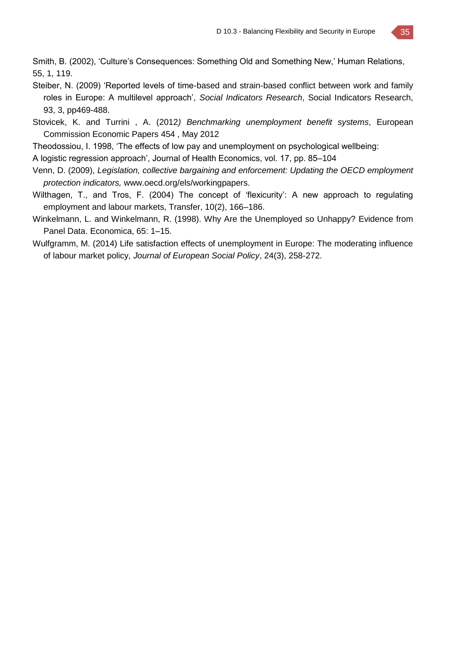Smith, B. (2002), 'Culture's Consequences: Something Old and Something New,' Human Relations, 55, 1, 119.

- Steiber, N. (2009) 'Reported levels of time-based and strain-based conflict between work and family roles in Europe: A multilevel approach', *Social Indicators Research*, Social Indicators Research, 93, 3, pp469-488.
- Stovicek, K. and Turrini , A. (2012*) Benchmarking unemployment benefit systems*, European Commission Economic Papers 454 , May 2012
- Theodossiou, I. 1998, 'The effects of low pay and unemployment on psychological wellbeing:
- A logistic regression approach', Journal of Health Economics, vol. 17, pp. 85–104
- Venn, D. (2009), *Legislation, collective bargaining and enforcement: Updating the OECD employment protection indicators,* www.oecd.org/els/workingpapers.
- Wilthagen, T., and Tros, F. (2004) The concept of 'flexicurity': A new approach to regulating employment and labour markets, Transfer, 10(2), 166–186.
- Winkelmann, L. and Winkelmann, R. (1998). Why Are the Unemployed so Unhappy? Evidence from Panel Data. Economica, 65: 1–15.
- Wulfgramm, M. (2014) Life satisfaction effects of unemployment in Europe: The moderating influence of labour market policy, *Journal of European Social Policy*, 24(3), 258-272.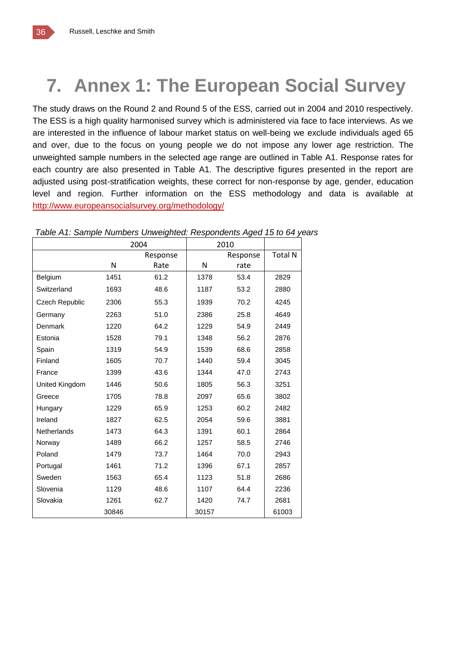![](_page_35_Picture_1.jpeg)

# **7. Annex 1: The European Social Survey**

The study draws on the Round 2 and Round 5 of the ESS, carried out in 2004 and 2010 respectively. The ESS is a high quality harmonised survey which is administered via face to face interviews. As we are interested in the influence of labour market status on well-being we exclude individuals aged 65 and over, due to the focus on young people we do not impose any lower age restriction. The unweighted sample numbers in the selected age range are outlined in Table A1. Response rates for each country are also presented in Table A1. The descriptive figures presented in the report are adjusted using post-stratification weights, these correct for non-response by age, gender, education level and region. Further information on the ESS methodology and data is available at <http://www.europeansocialsurvey.org/methodology/>

|                       |       | 2004     | 2010  |          |                |
|-----------------------|-------|----------|-------|----------|----------------|
|                       |       | Response |       | Response | <b>Total N</b> |
|                       | N     | Rate     | N     | rate     |                |
| Belgium               | 1451  | 61.2     | 1378  | 53.4     | 2829           |
| Switzerland           | 1693  | 48.6     | 1187  | 53.2     | 2880           |
| <b>Czech Republic</b> | 2306  | 55.3     | 1939  | 70.2     | 4245           |
| Germany               | 2263  | 51.0     | 2386  | 25.8     | 4649           |
| Denmark               | 1220  | 64.2     | 1229  | 54.9     | 2449           |
| Estonia               | 1528  | 79.1     | 1348  | 56.2     | 2876           |
| Spain                 | 1319  | 54.9     | 1539  | 68.6     | 2858           |
| Finland               | 1605  | 70.7     | 1440  | 59.4     | 3045           |
| France                | 1399  | 43.6     | 1344  | 47.0     | 2743           |
| United Kingdom        | 1446  | 50.6     | 1805  | 56.3     | 3251           |
| Greece                | 1705  | 78.8     | 2097  | 65.6     | 3802           |
| Hungary               | 1229  | 65.9     | 1253  | 60.2     | 2482           |
| Ireland               | 1827  | 62.5     | 2054  | 59.6     | 3881           |
| <b>Netherlands</b>    | 1473  | 64.3     | 1391  | 60.1     | 2864           |
| Norway                | 1489  | 66.2     | 1257  | 58.5     | 2746           |
| Poland                | 1479  | 73.7     | 1464  | 70.0     | 2943           |
| Portugal              | 1461  | 71.2     | 1396  | 67.1     | 2857           |
| Sweden                | 1563  | 65.4     | 1123  | 51.8     | 2686           |
| Slovenia              | 1129  | 48.6     | 1107  | 64.4     | 2236           |
| Slovakia              | 1261  | 62.7     | 1420  | 74.7     | 2681           |
|                       | 30846 |          | 30157 |          | 61003          |

*Table A1: Sample Numbers Unweighted: Respondents Aged 15 to 64 years*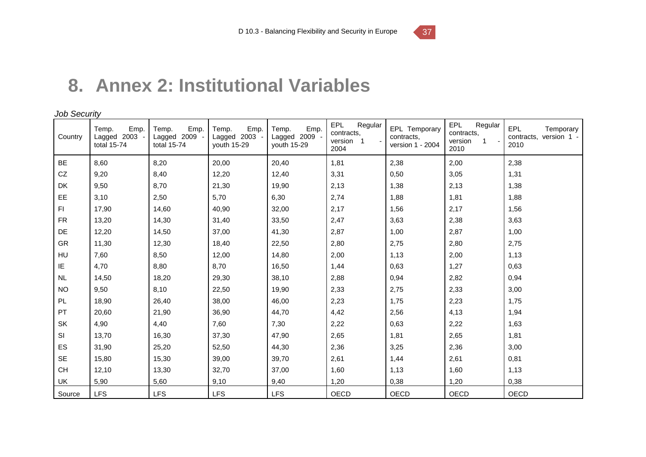# **8. Annex 2: Institutional Variables**

*Job Security*

| Country   | Emp.<br>Temp.<br>Lagged 2003 -<br>total 15-74 | Emp.<br>Temp.<br>Lagged 2009<br>total 15-74 | Emp.<br>Temp.<br>Lagged 2003 -<br>youth 15-29 | Emp.<br>Temp.<br>Lagged 2009 -<br>youth 15-29 | EPL<br>Regular<br>contracts.<br>version 1<br>2004 | EPL Temporary<br>contracts,<br>version 1 - 2004 | EPL<br>Regular<br>contracts,<br>version<br>1<br>2010 | EPL<br>Temporary<br>contracts, version 1 -<br>2010 |
|-----------|-----------------------------------------------|---------------------------------------------|-----------------------------------------------|-----------------------------------------------|---------------------------------------------------|-------------------------------------------------|------------------------------------------------------|----------------------------------------------------|
| <b>BE</b> | 8,60                                          | 8,20                                        | 20,00                                         | 20,40                                         | 1,81                                              | 2,38                                            | 2,00                                                 | 2,38                                               |
| CZ        | 9,20                                          | 8,40                                        | 12,20                                         | 12,40                                         | 3,31                                              | 0,50                                            | 3,05                                                 | 1,31                                               |
| DK        | 9,50                                          | 8,70                                        | 21,30                                         | 19,90                                         | 2,13                                              | 1,38                                            | 2,13                                                 | 1,38                                               |
| EE        | 3,10                                          | 2,50                                        | 5,70                                          | 6,30                                          | 2,74                                              | 1,88                                            | 1,81                                                 | 1,88                                               |
| F1        | 17,90                                         | 14,60                                       | 40,90                                         | 32,00                                         | 2,17                                              | 1,56                                            | 2,17                                                 | 1,56                                               |
| <b>FR</b> | 13,20                                         | 14,30                                       | 31,40                                         | 33,50                                         | 2,47                                              | 3,63                                            | 2,38                                                 | 3,63                                               |
| DE        | 12,20                                         | 14,50                                       | 37,00                                         | 41,30                                         | 2,87                                              | 1,00                                            | 2,87                                                 | 1,00                                               |
| <b>GR</b> | 11,30                                         | 12,30                                       | 18,40                                         | 22,50                                         | 2,80                                              | 2,75                                            | 2,80                                                 | 2,75                                               |
| HU        | 7,60                                          | 8,50                                        | 12,00                                         | 14,80                                         | 2,00                                              | 1,13                                            | 2,00                                                 | 1,13                                               |
| IE        | 4,70                                          | 8,80                                        | 8,70                                          | 16,50                                         | 1,44                                              | 0,63                                            | 1,27                                                 | 0,63                                               |
| <b>NL</b> | 14,50                                         | 18,20                                       | 29,30                                         | 38,10                                         | 2,88                                              | 0,94                                            | 2,82                                                 | 0,94                                               |
| <b>NO</b> | 9,50                                          | 8,10                                        | 22,50                                         | 19,90                                         | 2,33                                              | 2,75                                            | 2,33                                                 | 3,00                                               |
| <b>PL</b> | 18,90                                         | 26,40                                       | 38,00                                         | 46,00                                         | 2,23                                              | 1,75                                            | 2,23                                                 | 1,75                                               |
| PT        | 20,60                                         | 21,90                                       | 36,90                                         | 44,70                                         | 4,42                                              | 2,56                                            | 4,13                                                 | 1,94                                               |
| <b>SK</b> | 4,90                                          | 4,40                                        | 7,60                                          | 7,30                                          | 2,22                                              | 0,63                                            | 2,22                                                 | 1,63                                               |
| SI        | 13,70                                         | 16,30                                       | 37,30                                         | 47,90                                         | 2,65                                              | 1,81                                            | 2,65                                                 | 1,81                                               |
| ES        | 31,90                                         | 25,20                                       | 52,50                                         | 44,30                                         | 2,36                                              | 3,25                                            | 2,36                                                 | 3,00                                               |
| <b>SE</b> | 15,80                                         | 15,30                                       | 39,00                                         | 39,70                                         | 2,61                                              | 1,44                                            | 2,61                                                 | 0,81                                               |
| <b>CH</b> | 12,10                                         | 13,30                                       | 32,70                                         | 37,00                                         | 1,60                                              | 1,13                                            | 1,60                                                 | 1,13                                               |
| UK        | 5,90                                          | 5,60                                        | 9,10                                          | 9,40                                          | 1,20                                              | 0,38                                            | 1,20                                                 | 0,38                                               |
| Source    | <b>LFS</b>                                    | <b>LFS</b>                                  | <b>LFS</b>                                    | <b>LFS</b>                                    | OECD                                              | <b>OECD</b>                                     | <b>OECD</b>                                          | OECD                                               |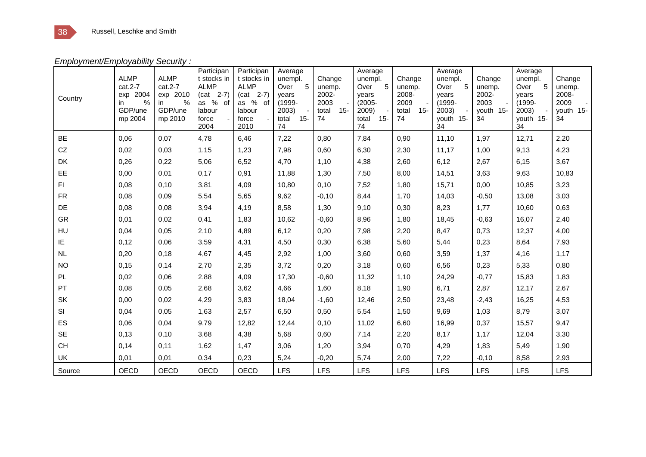*Employment/Employability Security :*

| Country   | <b>ALMP</b><br>$cat.2-7$<br>exp 2004<br>$\%$<br>$\mathsf{I}$<br>GDP/une<br>mp 2004 | <b>ALMP</b><br>cat.2-7<br>2010<br>exp<br>$\frac{0}{0}$<br>in.<br>GDP/une<br>mp 2010 | Participan<br>t stocks in<br><b>ALMP</b><br>$(cat 2-7)$<br>as $%$<br>of<br>labour<br>force<br>2004 | Participan<br>t stocks in<br><b>ALMP</b><br>$(cat 2-7)$<br>as %<br>of<br>labour<br>force<br>2010 | Average<br>unempl.<br>5<br>Over<br>years<br>$(1999 -$<br>2003)<br>total<br>$15 -$<br>74 | Change<br>unemp.<br>2002-<br>2003<br>$15 -$<br>total<br>74 | Average<br>unempl.<br>-5<br>Over<br>vears<br>$(2005 -$<br>2009)<br>$15 -$<br>total<br>74 | Change<br>unemp.<br>2008-<br>2009<br>$15 -$<br>total<br>74 | Average<br>unempl.<br>5<br>Over<br>years<br>$(1999 -$<br>2003)<br>youth 15-<br>34 | Change<br>unemp.<br>2002-<br>2003<br>youth 15-<br>34 | Average<br>unempl.<br>5<br>Over<br>vears<br>$(1999 -$<br>2003)<br>youth 15-<br>34 | Change<br>unemp.<br>2008-<br>2009<br>youth 15-<br>34 |
|-----------|------------------------------------------------------------------------------------|-------------------------------------------------------------------------------------|----------------------------------------------------------------------------------------------------|--------------------------------------------------------------------------------------------------|-----------------------------------------------------------------------------------------|------------------------------------------------------------|------------------------------------------------------------------------------------------|------------------------------------------------------------|-----------------------------------------------------------------------------------|------------------------------------------------------|-----------------------------------------------------------------------------------|------------------------------------------------------|
| <b>BE</b> | 0.06                                                                               | 0.07                                                                                | 4,78                                                                                               | 6,46                                                                                             | 7,22                                                                                    | 0.80                                                       | 7,84                                                                                     | 0,90                                                       | 11,10                                                                             | 1,97                                                 | 12,71                                                                             | 2,20                                                 |
| CZ        | 0,02                                                                               | 0,03                                                                                | 1,15                                                                                               | 1,23                                                                                             | 7,98                                                                                    | 0,60                                                       | 6,30                                                                                     | 2,30                                                       | 11,17                                                                             | 1,00                                                 | 9,13                                                                              | 4,23                                                 |
| <b>DK</b> | 0,26                                                                               | 0,22                                                                                | 5,06                                                                                               | 6,52                                                                                             | 4,70                                                                                    | 1,10                                                       | 4,38                                                                                     | 2,60                                                       | 6,12                                                                              | 2,67                                                 | 6,15                                                                              | 3,67                                                 |
| EE        | 0,00                                                                               | 0,01                                                                                | 0,17                                                                                               | 0,91                                                                                             | 11,88                                                                                   | 1,30                                                       | 7,50                                                                                     | 8,00                                                       | 14,51                                                                             | 3,63                                                 | 9,63                                                                              | 10,83                                                |
| FI.       | 0,08                                                                               | 0,10                                                                                | 3,81                                                                                               | 4,09                                                                                             | 10,80                                                                                   | 0,10                                                       | 7,52                                                                                     | 1,80                                                       | 15,71                                                                             | 0,00                                                 | 10,85                                                                             | 3,23                                                 |
| <b>FR</b> | 0,08                                                                               | 0,09                                                                                | 5,54                                                                                               | 5,65                                                                                             | 9,62                                                                                    | $-0,10$                                                    | 8,44                                                                                     | 1,70                                                       | 14,03                                                                             | $-0,50$                                              | 13,08                                                                             | 3,03                                                 |
| <b>DE</b> | 0,08                                                                               | 0.08                                                                                | 3,94                                                                                               | 4,19                                                                                             | 8,58                                                                                    | 1,30                                                       | 9,10                                                                                     | 0,30                                                       | 8,23                                                                              | 1.77                                                 | 10,60                                                                             | 0,63                                                 |
| <b>GR</b> | 0,01                                                                               | 0,02                                                                                | 0,41                                                                                               | 1,83                                                                                             | 10,62                                                                                   | $-0,60$                                                    | 8,96                                                                                     | 1,80                                                       | 18,45                                                                             | $-0,63$                                              | 16,07                                                                             | 2,40                                                 |
| HU        | 0,04                                                                               | 0.05                                                                                | 2,10                                                                                               | 4,89                                                                                             | 6,12                                                                                    | 0,20                                                       | 7,98                                                                                     | 2,20                                                       | 8,47                                                                              | 0.73                                                 | 12,37                                                                             | 4,00                                                 |
| ΙE        | 0,12                                                                               | 0.06                                                                                | 3,59                                                                                               | 4,31                                                                                             | 4,50                                                                                    | 0,30                                                       | 6,38                                                                                     | 5,60                                                       | 5,44                                                                              | 0,23                                                 | 8,64                                                                              | 7,93                                                 |
| <b>NL</b> | 0,20                                                                               | 0,18                                                                                | 4,67                                                                                               | 4,45                                                                                             | 2,92                                                                                    | 1,00                                                       | 3,60                                                                                     | 0,60                                                       | 3,59                                                                              | 1,37                                                 | 4,16                                                                              | 1,17                                                 |
| <b>NO</b> | 0,15                                                                               | 0,14                                                                                | 2,70                                                                                               | 2,35                                                                                             | 3,72                                                                                    | 0,20                                                       | 3,18                                                                                     | 0,60                                                       | 6,56                                                                              | 0.23                                                 | 5,33                                                                              | 0,80                                                 |
| <b>PL</b> | 0,02                                                                               | 0.06                                                                                | 2,88                                                                                               | 4,09                                                                                             | 17,30                                                                                   | $-0.60$                                                    | 11,32                                                                                    | 1,10                                                       | 24,29                                                                             | $-0.77$                                              | 15,83                                                                             | 1,83                                                 |
| <b>PT</b> | 0,08                                                                               | 0.05                                                                                | 2,68                                                                                               | 3,62                                                                                             | 4,66                                                                                    | 1.60                                                       | 8,18                                                                                     | 1,90                                                       | 6,71                                                                              | 2,87                                                 | 12,17                                                                             | 2,67                                                 |
| <b>SK</b> | 0,00                                                                               | 0,02                                                                                | 4,29                                                                                               | 3,83                                                                                             | 18,04                                                                                   | $-1,60$                                                    | 12,46                                                                                    | 2,50                                                       | 23,48                                                                             | $-2,43$                                              | 16,25                                                                             | 4,53                                                 |
| <b>SI</b> | 0,04                                                                               | 0,05                                                                                | 1,63                                                                                               | 2,57                                                                                             | 6,50                                                                                    | 0,50                                                       | 5,54                                                                                     | 1,50                                                       | 9,69                                                                              | 1,03                                                 | 8,79                                                                              | 3,07                                                 |
| ES        | 0,06                                                                               | 0,04                                                                                | 9,79                                                                                               | 12,82                                                                                            | 12,44                                                                                   | 0,10                                                       | 11,02                                                                                    | 6,60                                                       | 16,99                                                                             | 0,37                                                 | 15,57                                                                             | 9,47                                                 |
| <b>SE</b> | 0,13                                                                               | 0,10                                                                                | 3,68                                                                                               | 4,38                                                                                             | 5,68                                                                                    | 0,60                                                       | 7,14                                                                                     | 2,20                                                       | 8,17                                                                              | 1,17                                                 | 12,04                                                                             | 3,30                                                 |
| <b>CH</b> | 0,14                                                                               | 0,11                                                                                | 1,62                                                                                               | 1,47                                                                                             | 3,06                                                                                    | 1,20                                                       | 3,94                                                                                     | 0,70                                                       | 4,29                                                                              | 1,83                                                 | 5,49                                                                              | 1,90                                                 |
| UK        | 0,01                                                                               | 0,01                                                                                | 0,34                                                                                               | 0,23                                                                                             | 5,24                                                                                    | $-0,20$                                                    | 5,74                                                                                     | 2,00                                                       | 7,22                                                                              | $-0,10$                                              | 8,58                                                                              | 2,93                                                 |
| Source    | <b>OECD</b>                                                                        | <b>OECD</b>                                                                         | <b>OECD</b>                                                                                        | <b>OECD</b>                                                                                      | <b>LFS</b>                                                                              | <b>LFS</b>                                                 | <b>LFS</b>                                                                               | <b>LFS</b>                                                 | <b>LFS</b>                                                                        | <b>LFS</b>                                           | LFS                                                                               | <b>LFS</b>                                           |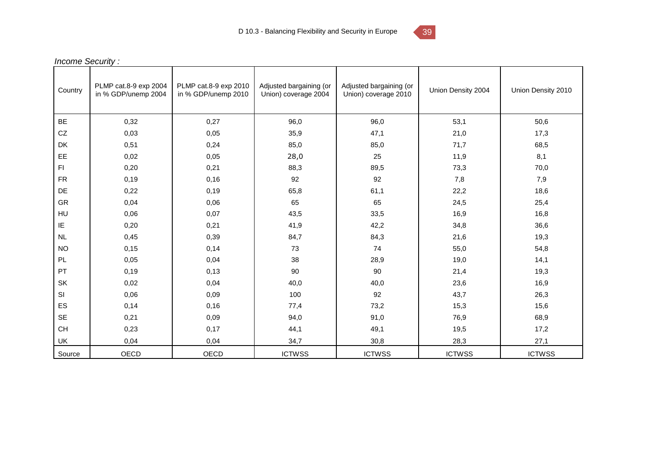![](_page_38_Picture_1.jpeg)

|                     | <b>Income Security:</b>                      |                                              |                                                 |                                                 |                    |                    |  |  |  |
|---------------------|----------------------------------------------|----------------------------------------------|-------------------------------------------------|-------------------------------------------------|--------------------|--------------------|--|--|--|
| Country             | PLMP cat.8-9 exp 2004<br>in % GDP/unemp 2004 | PLMP cat.8-9 exp 2010<br>in % GDP/unemp 2010 | Adjusted bargaining (or<br>Union) coverage 2004 | Adjusted bargaining (or<br>Union) coverage 2010 | Union Density 2004 | Union Density 2010 |  |  |  |
| BE                  | 0,32                                         | 0,27                                         | 96,0                                            | 96,0                                            | 53,1               | 50,6               |  |  |  |
| ${\rm CZ}$          | 0,03                                         | 0,05                                         | 35,9                                            | 47,1                                            | 21,0               | 17,3               |  |  |  |
| <b>DK</b>           | 0,51                                         | 0,24                                         | 85,0                                            | 85,0                                            | 71,7               | 68,5               |  |  |  |
| EE                  | 0,02                                         | 0,05                                         | 28,0                                            | 25                                              | 11,9               | 8,1                |  |  |  |
| F1                  | 0,20                                         | 0,21                                         | 88,3                                            | 89,5                                            | 73,3               | 70,0               |  |  |  |
| ${\sf FR}$          | 0,19                                         | 0,16                                         | 92                                              | 92                                              | 7,8                | 7,9                |  |  |  |
| $\mathsf{DE}% _{T}$ | 0,22                                         | 0,19                                         | 65,8                                            | 61,1                                            | 22,2               | 18,6               |  |  |  |
| GR                  | 0,04                                         | 0,06                                         | 65                                              | 65                                              | 24,5               | 25,4               |  |  |  |
| HU                  | 0,06                                         | 0,07                                         | 43,5                                            | 33,5                                            | 16,9               | 16,8               |  |  |  |
| IE                  | 0,20                                         | 0,21                                         | 41,9                                            | 42,2                                            | 34,8               | 36,6               |  |  |  |
| NL                  | 0,45                                         | 0,39                                         | 84,7                                            | 84,3                                            | 21,6               | 19,3               |  |  |  |
| <b>NO</b>           | 0,15                                         | 0,14                                         | 73                                              | 74                                              | 55,0               | 54,8               |  |  |  |
| PL                  | 0,05                                         | 0,04                                         | 38                                              | 28,9                                            | 19,0               | 14,1               |  |  |  |
| PT                  | 0,19                                         | 0,13                                         | 90                                              | 90                                              | 21,4               | 19,3               |  |  |  |
| SK                  | 0,02                                         | 0,04                                         | 40,0                                            | 40,0                                            | 23,6               | 16,9               |  |  |  |
| SI                  | 0,06                                         | 0,09                                         | 100                                             | 92                                              | 43,7               | 26,3               |  |  |  |
| ES                  | 0,14                                         | 0,16                                         | 77,4                                            | 73,2                                            | 15,3               | 15,6               |  |  |  |
| SE                  | 0,21                                         | 0,09                                         | 94,0                                            | 91,0                                            | 76,9               | 68,9               |  |  |  |
| CH                  | 0,23                                         | 0,17                                         | 44,1                                            | 49,1                                            | 19,5               | 17,2               |  |  |  |
| UK                  | 0,04                                         | 0,04                                         | 34,7                                            | 30,8                                            | 28,3               | 27,1               |  |  |  |
| Source              | <b>OECD</b>                                  | OECD                                         | <b>ICTWSS</b>                                   | <b>ICTWSS</b>                                   | <b>ICTWSS</b>      | <b>ICTWSS</b>      |  |  |  |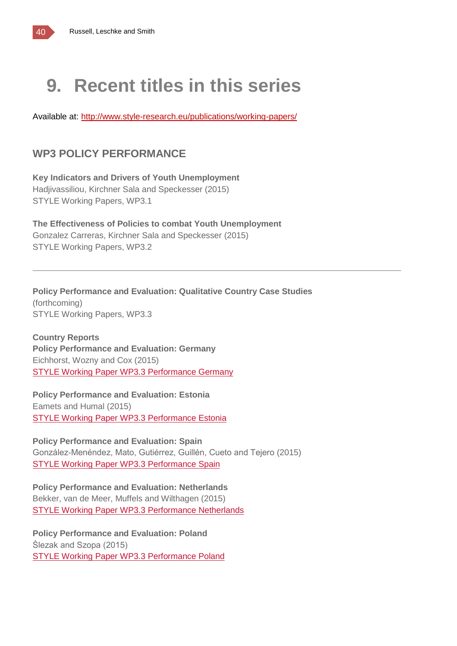# **9. Recent titles in this series**

Available at:<http://www.style-research.eu/publications/working-papers/>

### **WP3 POLICY PERFORMANCE**

**Key Indicators and Drivers of Youth Unemployment** Hadjivassiliou, Kirchner Sala and Speckesser (2015) STYLE Working Papers, WP3.1

**The Effectiveness of Policies to combat Youth Unemployment** Gonzalez Carreras, Kirchner Sala and Speckesser (2015) STYLE Working Papers, WP3.2

**Policy Performance and Evaluation: Qualitative Country Case Studies** (forthcoming) STYLE Working Papers, WP3.3

**Country Reports Policy Performance and Evaluation: Germany** Eichhorst, Wozny and Cox (2015) STYLE Working Paper WP3.3 [Performance](http://www.style-research.eu/wordpress/wp-content/uploads/2015/03/STYLE-Working-Paper-WP3.3-Performance-Germany.pdf) Germany

**Policy Performance and Evaluation: Estonia** Eamets and Humal (2015) STYLE Working Paper WP3.3 [Performance](http://www.style-research.eu/wordpress/wp-content/uploads/2015/03/STYLE-Working-Paper-WP3.3-Performance-Estonia.pdf) Estonia

**Policy Performance and Evaluation: Spain** González-Menéndez, Mato, Gutiérrez, Guillén, Cueto and Tejero (2015) STYLE Working Paper WP3.3 [Performance](http://www.style-research.eu/wordpress/wp-content/uploads/2015/03/STYLE-Working-Paper-WP3.3-Performance-Spain.pdf) Spain

**Policy Performance and Evaluation: Netherlands** Bekker, van de Meer, Muffels and Wilthagen (2015) STYLE Working Paper WP3.3 [Performance](http://www.style-research.eu/wordpress/wp-content/uploads/2015/03/STYLE-Working-Paper-WP3.3-Performance-Netherlands.docx) Netherlands

**Policy Performance and Evaluation: Poland** Ślezak and Szopa (2015) STYLE Working Paper WP3.3 [Performance](http://www.style-research.eu/wordpress/wp-content/uploads/2015/03/STYLE-Working-Paper-WP3.3-Performance-Poland.docx) Poland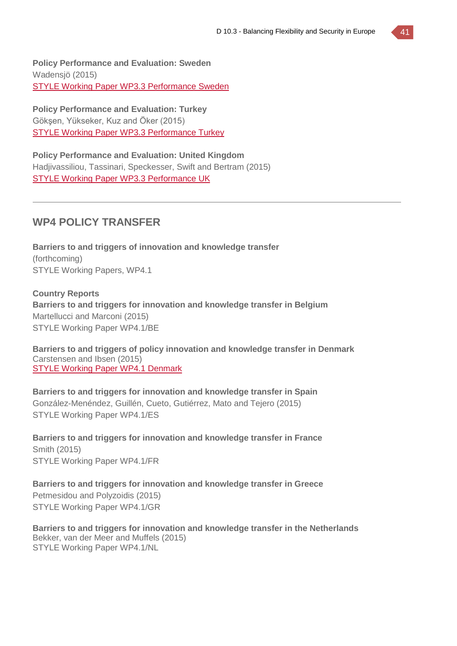**Policy Performance and Evaluation: Sweden** Wadensjö (2015) STYLE Working Paper WP3.3 [Performance](http://www.style-research.eu/wordpress/wp-content/uploads/2015/03/STYLE-Working-Paper-WP3.3-Performance-Sweden.pdf) Sweden

**Policy Performance and Evaluation: Turkey** Gökşen, Yükseker, Kuz and Öker (2015) STYLE Working Paper WP3.3 [Performance](http://www.style-research.eu/wordpress/wp-content/uploads/2015/03/STYLE-Working-Paper-WP3.3-Performance-Turkey-.docx) Turkey

**Policy Performance and Evaluation: United Kingdom** Hadjivassiliou, Tassinari, Speckesser, Swift and Bertram (2015) STYLE Working Paper WP3.3 [Performance](http://www.style-research.eu/wordpress/wp-content/uploads/2015/03/STYLE-Working-Paper-WP3.3-Performance-UK.pdf) UK

### **WP4 POLICY TRANSFER**

**Barriers to and triggers of innovation and knowledge transfer** (forthcoming) STYLE Working Papers, WP4.1

**Country Reports Barriers to and triggers for innovation and knowledge transfer in Belgium** Martellucci and Marconi (2015) STYLE Working Paper WP4.1/BE

**Barriers to and triggers of policy innovation and knowledge transfer in Denmark** Carstensen and Ibsen (2015) STYLE Working Paper WP4.1 [Denmark](http://www.style-research.eu/wordpress/wp-content/uploads/2015/03/STYLE-Working-Paper-WP4.1-Denmark.pdf)

**Barriers to and triggers for innovation and knowledge transfer in Spain** González-Menéndez, Guillén, Cueto, Gutiérrez, Mato and Tejero (2015) STYLE Working Paper WP4.1/ES

**Barriers to and triggers for innovation and knowledge transfer in France** Smith (2015) STYLE Working Paper WP4.1/FR

**Barriers to and triggers for innovation and knowledge transfer in Greece** Petmesidou and Polyzoidis (2015) STYLE Working Paper WP4.1/GR

**Barriers to and triggers for innovation and knowledge transfer in the Netherlands** Bekker, van der Meer and Muffels (2015) STYLE Working Paper WP4.1/NL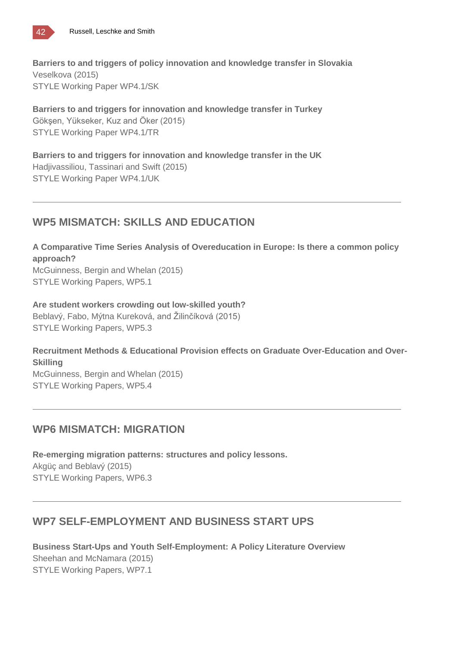![](_page_41_Picture_0.jpeg)

**Barriers to and triggers of policy innovation and knowledge transfer in Slovakia** Veselkova (2015) STYLE Working Paper WP4.1/SK

**Barriers to and triggers for innovation and knowledge transfer in Turkey** Gökşen, Yükseker, Kuz and Öker (2015) STYLE Working Paper WP4.1/TR

**Barriers to and triggers for innovation and knowledge transfer in the UK** Hadjivassiliou, Tassinari and Swift (2015) STYLE Working Paper WP4.1/UK

### **WP5 MISMATCH: SKILLS AND EDUCATION**

**A Comparative Time Series Analysis of Overeducation in Europe: Is there a common policy approach?**

McGuinness, Bergin and Whelan (2015) STYLE Working Papers, WP5.1

**Are student workers crowding out low-skilled youth?** Beblavý, Fabo, Mýtna Kureková, and Žilinčíková (2015) STYLE Working Papers, WP5.3

**Recruitment Methods & Educational Provision effects on Graduate Over-Education and Over-Skilling** McGuinness, Bergin and Whelan (2015) STYLE Working Papers, WP5.4

### **WP6 MISMATCH: MIGRATION**

**Re-emerging migration patterns: structures and policy lessons.** Akgüç and Beblavý (2015) STYLE Working Papers, WP6.3

### **WP7 SELF-EMPLOYMENT AND BUSINESS START UPS**

**Business Start-Ups and Youth Self-Employment: A Policy Literature Overview** Sheehan and McNamara (2015) STYLE Working Papers, WP7.1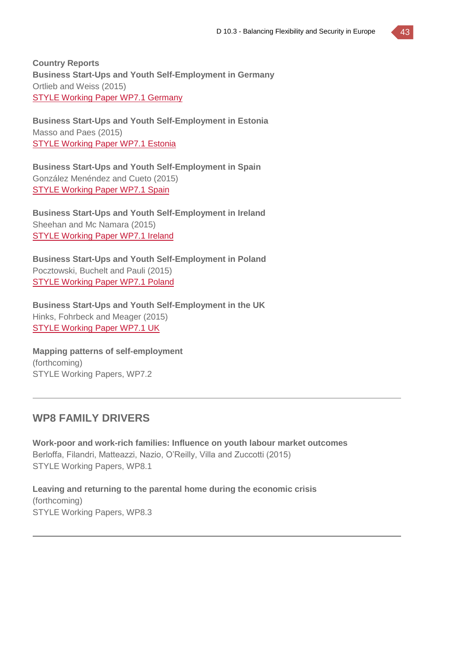**Country Reports Business Start-Ups and Youth Self-Employment in Germany** Ortlieb and Weiss (2015) STYLE Working Paper WP7.1 [Germany](http://www.style-research.eu/wordpress/wp-content/uploads/2015/03/STYLE-Working-Paper-WP7.1-Germany-.pdf)

**Business Start-Ups and Youth Self-Employment in Estonia** Masso and Paes (2015) STYLE [Working](http://www.style-research.eu/wordpress/wp-content/uploads/2015/03/STYLE-Working-Paper-WP7.1-Estonia-.pdf) Paper WP7.1 Estonia

**Business Start-Ups and Youth Self-Employment in Spain** González Menéndez and Cueto (2015) STYLE [Working](http://www.style-research.eu/wordpress/wp-content/uploads/2015/03/STYLE-Working-Paper-WP7.1-Spain.pdf) Paper WP7.1 Spain

**Business Start-Ups and Youth Self-Employment in Ireland** Sheehan and Mc Namara (2015) STYLE [Working](http://www.style-research.eu/wordpress/wp-content/uploads/2015/03/STYLE-Working-Paper-WP7.1-Ireland.docx) Paper WP7.1 Ireland

**Business Start-Ups and Youth Self-Employment in Poland** Pocztowski, Buchelt and Pauli (2015) STYLE [Working](http://www.style-research.eu/wordpress/wp-content/uploads/2015/03/STYLE-Working-Paper-WP7.1-Poland-.pdf) Paper WP7.1 Poland

**Business Start-Ups and Youth Self-Employment in the UK** Hinks, Fohrbeck and Meager (2015) STYLE [Working](http://www.style-research.eu/wordpress/wp-content/uploads/2015/03/STYLE-Working-Paper-WP7.1-UK.pdf) Paper WP7.1 UK

**Mapping patterns of self-employment** (forthcoming) STYLE Working Papers, WP7.2

### **WP8 FAMILY DRIVERS**

**Work-poor and work-rich families: Influence on youth labour market outcomes** Berloffa, Filandri, Matteazzi, Nazio, O'Reilly, Villa and Zuccotti (2015) STYLE Working Papers, WP8.1

**Leaving and returning to the parental home during the economic crisis** (forthcoming) STYLE Working Papers, WP8.3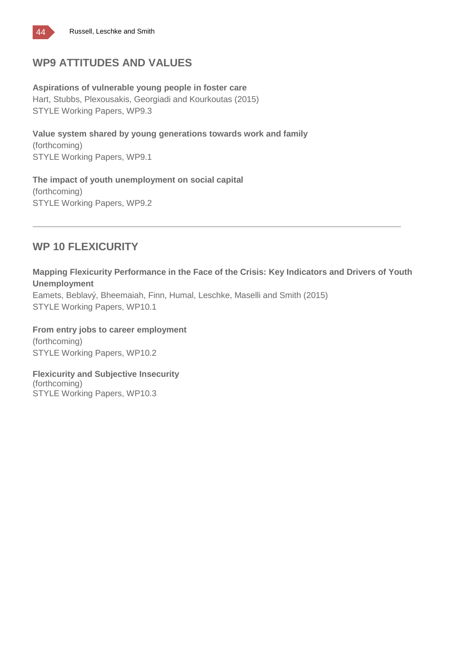![](_page_43_Picture_0.jpeg)

### **WP9 ATTITUDES AND VALUES**

**Aspirations of vulnerable young people in foster care** Hart, Stubbs, Plexousakis, Georgiadi and Kourkoutas (2015) STYLE Working Papers, WP9.3

**Value system shared by young generations towards work and family** (forthcoming) STYLE Working Papers, WP9.1

**The impact of youth unemployment on social capital** (forthcoming) STYLE Working Papers, WP9.2

### **WP 10 FLEXICURITY**

**Mapping Flexicurity Performance in the Face of the Crisis: Key Indicators and Drivers of Youth Unemployment**

Eamets, Beblavý, Bheemaiah, Finn, Humal, Leschke, Maselli and Smith (2015) STYLE Working Papers, WP10.1

**From entry jobs to career employment** (forthcoming) STYLE Working Papers, WP10.2

**Flexicurity and Subjective Insecurity** (forthcoming) STYLE Working Papers, WP10.3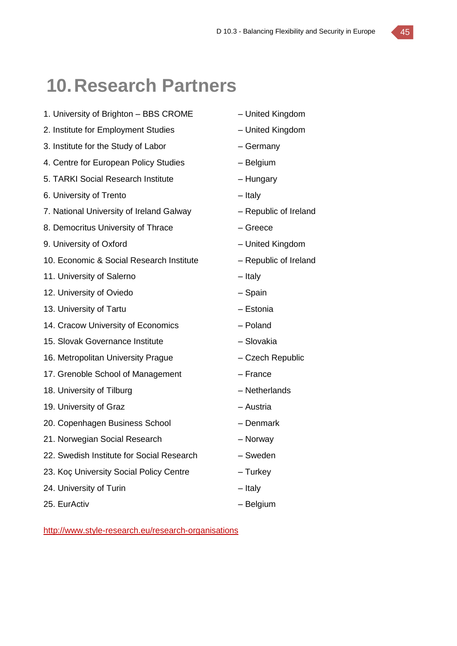## **10.Research Partners**

- 1. University of Brighton BBS CROME United Kingdom
- 2. Institute for Employment Studies United Kingdom
- 3. Institute for the Study of Labor Germany
- 4. Centre for European Policy Studies Belgium
- 5. TARKI Social Research Institute Hungary
- 6. University of Trento Italy
- 7. National University of Ireland Galway Republic of Ireland
- 8. Democritus University of Thrace Fig. 2. The Greece
- 9. University of Oxford United Kingdom
- 10. Economic & Social Research Institute Republic of Ireland
- 11. University of Salerno **Fig. 2018** Italy
- 12. University of Oviedo Spain
- 13. University of Tartu Estonia
- 14. Cracow University of Economics Poland
- 15. Slovak Governance Institute Slovakia
- 16. Metropolitan University Prague Czech Republic
- 17. Grenoble School of Management France
- 18. University of Tilburg and American control of Tilburg and American values of Tilburg and American values of Netherlands
- 19. University of Graz **Face Contract Contract Contract Contract Contract Contract Contract Contract Contract Contract Contract Contract Contract Contract Contract Contract Contract Contract Contract Contract Contract Cont**
- 20. Copenhagen Business School Denmark
- 21. Norwegian Social Research Norway
- 22. Swedish Institute for Social Research Sweden
- 23. Koç University Social Policy Centre Turkey
- 24. University of Turin **Example 24.** University of Turin
- 25. EurActiv Channel Holland, and Holland Belgium
- 
- 
- 
- 
- 
- 
- 
- 
- 
- 
- 
- 
- 
- 
- 
- 
- 
- 
- 
- 
- 
- 
- 
- 
- 

<http://www.style-research.eu/research-organisations>